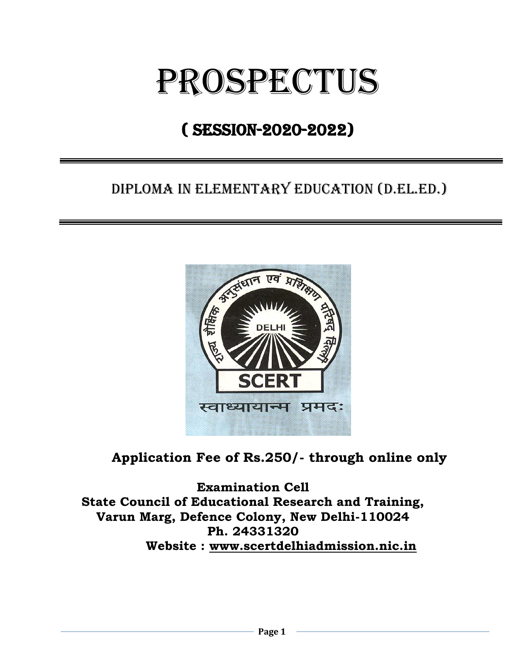# prospectus

# ( session-2020-2022)

ֺ֘֒

# DIPLOMA IN ELEMENTARY EDUCATION (D.El.Ed.)



# **Application Fee of Rs.250/- through online only**

**Examination Cell State Council of Educational Research and Training, Varun Marg, Defence Colony, New Delhi-110024 Ph. 24331320 Website : [www.scertdelhiadmission.nic.in](http://www.scertdelhiadmission.nic.in/)**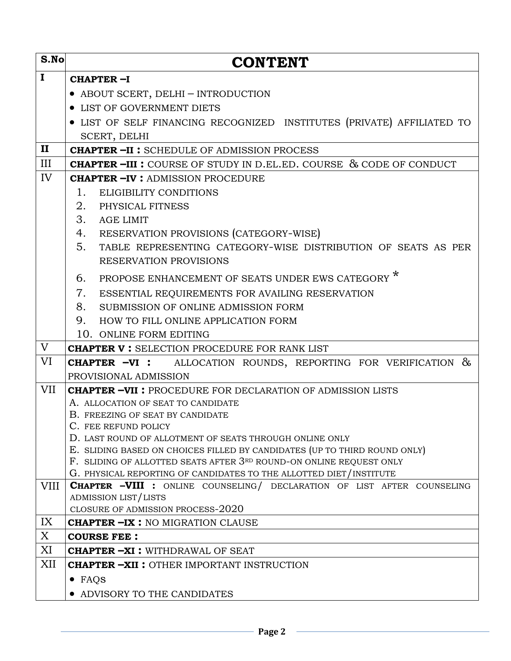| S.No         | <b>CONTENT</b>                                                                                                                       |  |  |  |  |
|--------------|--------------------------------------------------------------------------------------------------------------------------------------|--|--|--|--|
| $\mathbf I$  | CHAPTER-I                                                                                                                            |  |  |  |  |
|              | • ABOUT SCERT, DELHI - INTRODUCTION                                                                                                  |  |  |  |  |
|              | • LIST OF GOVERNMENT DIETS                                                                                                           |  |  |  |  |
|              | • LIST OF SELF FINANCING RECOGNIZED INSTITUTES (PRIVATE) AFFILIATED TO                                                               |  |  |  |  |
|              | SCERT, DELHI                                                                                                                         |  |  |  |  |
| $\mathbf{I}$ | <b>CHAPTER-II:</b> SCHEDULE OF ADMISSION PROCESS                                                                                     |  |  |  |  |
| III          | <b>CHAPTER-III:</b> COURSE OF STUDY IN D.EL.ED. COURSE & CODE OF CONDUCT                                                             |  |  |  |  |
| IV           | <b>CHAPTER -IV : ADMISSION PROCEDURE</b>                                                                                             |  |  |  |  |
|              | 1.<br><b>ELIGIBILITY CONDITIONS</b>                                                                                                  |  |  |  |  |
|              | 2.<br>PHYSICAL FITNESS                                                                                                               |  |  |  |  |
|              | 3.<br><b>AGE LIMIT</b>                                                                                                               |  |  |  |  |
|              | 4. RESERVATION PROVISIONS (CATEGORY-WISE)                                                                                            |  |  |  |  |
|              | 5.<br>TABLE REPRESENTING CATEGORY-WISE DISTRIBUTION OF SEATS AS PER                                                                  |  |  |  |  |
|              | <b>RESERVATION PROVISIONS</b>                                                                                                        |  |  |  |  |
|              | PROPOSE ENHANCEMENT OF SEATS UNDER EWS CATEGORY *<br>6.                                                                              |  |  |  |  |
|              | 7.<br>ESSENTIAL REQUIREMENTS FOR AVAILING RESERVATION                                                                                |  |  |  |  |
|              | 8.<br>SUBMISSION OF ONLINE ADMISSION FORM                                                                                            |  |  |  |  |
|              | 9.<br>HOW TO FILL ONLINE APPLICATION FORM                                                                                            |  |  |  |  |
|              | 10. ONLINE FORM EDITING                                                                                                              |  |  |  |  |
| V            | <b>CHAPTER V : SELECTION PROCEDURE FOR RANK LIST</b>                                                                                 |  |  |  |  |
| VI           | <b>CHAPTER -VI :</b> ALLOCATION ROUNDS, REPORTING FOR VERIFICATION &                                                                 |  |  |  |  |
|              | PROVISIONAL ADMISSION                                                                                                                |  |  |  |  |
| <b>VII</b>   | <b>CHAPTER -VII: PROCEDURE FOR DECLARATION OF ADMISSION LISTS</b>                                                                    |  |  |  |  |
|              | A. ALLOCATION OF SEAT TO CANDIDATE                                                                                                   |  |  |  |  |
|              | B. FREEZING OF SEAT BY CANDIDATE                                                                                                     |  |  |  |  |
|              | C. FEE REFUND POLICY                                                                                                                 |  |  |  |  |
|              | D. LAST ROUND OF ALLOTMENT OF SEATS THROUGH ONLINE ONLY<br>E. SLIDING BASED ON CHOICES FILLED BY CANDIDATES (UP TO THIRD ROUND ONLY) |  |  |  |  |
|              | F. SLIDING OF ALLOTTED SEATS AFTER 3RD ROUND-ON ONLINE REQUEST ONLY                                                                  |  |  |  |  |
|              | G. PHYSICAL REPORTING OF CANDIDATES TO THE ALLOTTED DIET/INSTITUTE                                                                   |  |  |  |  |
| <b>VIII</b>  | <b>CHAPTER -VIII :</b> ONLINE COUNSELING/ DECLARATION OF LIST AFTER COUNSELING                                                       |  |  |  |  |
|              | ADMISSION LIST/LISTS                                                                                                                 |  |  |  |  |
|              | CLOSURE OF ADMISSION PROCESS-2020                                                                                                    |  |  |  |  |
| IX           | <b>CHAPTER -IX: NO MIGRATION CLAUSE</b>                                                                                              |  |  |  |  |
| X            | <b>COURSE FEE:</b>                                                                                                                   |  |  |  |  |
| XI           | <b>CHAPTER -XI : WITHDRAWAL OF SEAT</b>                                                                                              |  |  |  |  |
| XII          | <b>CHAPTER -XII : OTHER IMPORTANT INSTRUCTION</b>                                                                                    |  |  |  |  |
|              | $\bullet$ FAQS                                                                                                                       |  |  |  |  |
|              | • ADVISORY TO THE CANDIDATES                                                                                                         |  |  |  |  |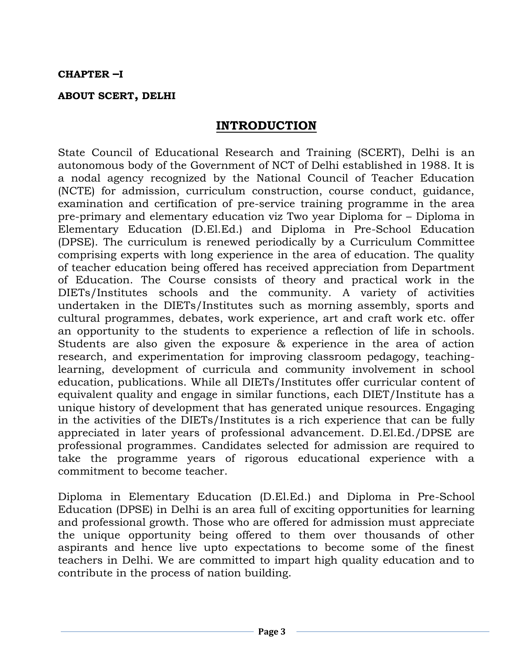#### **CHAPTER –I**

#### **ABOUT SCERT, DELHI**

## **INTRODUCTION**

State Council of Educational Research and Training (SCERT), Delhi is an autonomous body of the Government of NCT of Delhi established in 1988. It is a nodal agency recognized by the National Council of Teacher Education (NCTE) for admission, curriculum construction, course conduct, guidance, examination and certification of pre-service training programme in the area pre-primary and elementary education viz Two year Diploma for – Diploma in Elementary Education (D.El.Ed.) and Diploma in Pre-School Education (DPSE). The curriculum is renewed periodically by a Curriculum Committee comprising experts with long experience in the area of education. The quality of teacher education being offered has received appreciation from Department of Education. The Course consists of theory and practical work in the DIETs/Institutes schools and the community. A variety of activities undertaken in the DIETs/Institutes such as morning assembly, sports and cultural programmes, debates, work experience, art and craft work etc. offer an opportunity to the students to experience a reflection of life in schools. Students are also given the exposure & experience in the area of action research, and experimentation for improving classroom pedagogy, teachinglearning, development of curricula and community involvement in school education, publications. While all DIETs/Institutes offer curricular content of equivalent quality and engage in similar functions, each DIET/Institute has a unique history of development that has generated unique resources. Engaging in the activities of the DIETs/Institutes is a rich experience that can be fully appreciated in later years of professional advancement. D.El.Ed./DPSE are professional programmes. Candidates selected for admission are required to take the programme years of rigorous educational experience with a commitment to become teacher.

Diploma in Elementary Education (D.El.Ed.) and Diploma in Pre-School Education (DPSE) in Delhi is an area full of exciting opportunities for learning and professional growth. Those who are offered for admission must appreciate the unique opportunity being offered to them over thousands of other aspirants and hence live upto expectations to become some of the finest teachers in Delhi. We are committed to impart high quality education and to contribute in the process of nation building.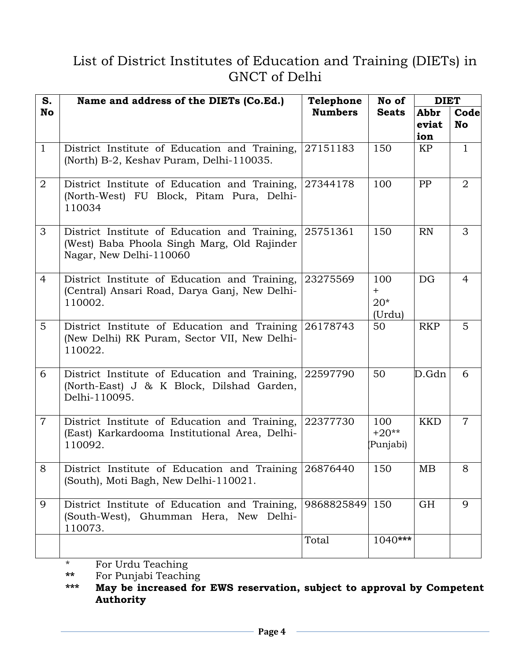# List of District Institutes of Education and Training (DIETs) in GNCT of Delhi

| S.             | Name and address of the DIETs (Co.Ed.)                                                                                  | Telephone      | No of                         | <b>DIET</b>          |                   |
|----------------|-------------------------------------------------------------------------------------------------------------------------|----------------|-------------------------------|----------------------|-------------------|
| No             |                                                                                                                         | <b>Numbers</b> | <b>Seats</b>                  | Abbr<br>eviat<br>ion | Code<br><b>No</b> |
| $\mathbf{1}$   | District Institute of Education and Training,<br>(North) B-2, Keshav Puram, Delhi-110035.                               | 27151183       | 150                           | KP                   | $\mathbf{1}$      |
| $\overline{2}$ | District Institute of Education and Training,<br>(North-West) FU Block, Pitam Pura, Delhi-<br>110034                    | 27344178       | 100                           | PP                   | $\overline{2}$    |
| 3              | District Institute of Education and Training,<br>(West) Baba Phoola Singh Marg, Old Rajinder<br>Nagar, New Delhi-110060 | 25751361       | 150                           | RN                   | 3                 |
| $\overline{4}$ | District Institute of Education and Training,<br>(Central) Ansari Road, Darya Ganj, New Delhi-<br>110002.               | 23275569       | 100<br>$+$<br>$20*$<br>(Urdu) | DG                   | $\overline{4}$    |
| $5^{\circ}$    | District Institute of Education and Training<br>(New Delhi) RK Puram, Sector VII, New Delhi-<br>110022.                 | 26178743       | 50                            | <b>RKP</b>           | 5                 |
| 6              | District Institute of Education and Training,<br>(North-East) J & K Block, Dilshad Garden,<br>Delhi-110095.             | 22597790       | 50                            | D.Gdn                | 6                 |
| $\overline{7}$ | District Institute of Education and Training,<br>(East) Karkardooma Institutional Area, Delhi-<br>110092.               | 22377730       | 100<br>$+20**$<br>Punjabi)    | <b>KKD</b>           | $\overline{7}$    |
| 8              | District Institute of Education and Training 26876440<br>(South), Moti Bagh, New Delhi-110021.                          |                | 150                           | MВ                   | 8                 |
| 9              | District Institute of Education and Training,<br>(South-West), Ghumman Hera, New Delhi-<br>110073.                      | 9868825849     | 150                           | GH                   | 9                 |
|                |                                                                                                                         | Total          | $1040***$                     |                      |                   |

\* For Urdu Teaching

**\*\*** For Punjabi Teaching

**\*\*\* May be increased for EWS reservation, subject to approval by Competent Authority**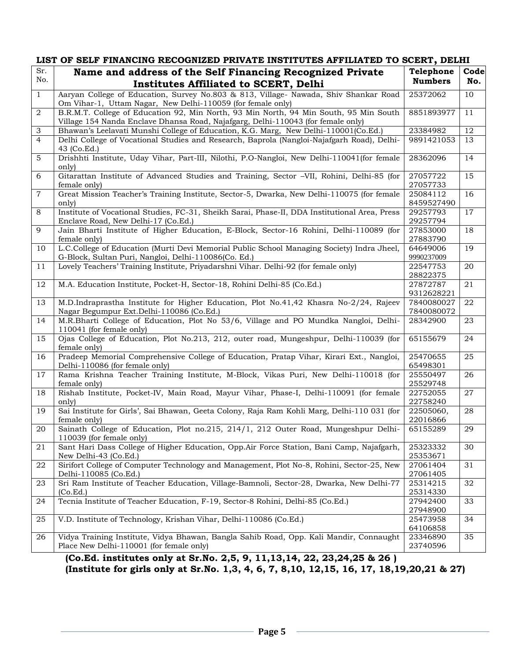|                     | LIST OF SELF FINANCING RECOGNIZED PRIVATE INSTITUTES AFFILIATED TO SCERT, DELHI                                                    |                        |      |  |  |
|---------------------|------------------------------------------------------------------------------------------------------------------------------------|------------------------|------|--|--|
| Sr.                 | Name and address of the Self Financing Recognized Private                                                                          | Telephone              | Code |  |  |
| No.                 | Institutes Affiliated to SCERT, Delhi                                                                                              | <b>Numbers</b>         | No.  |  |  |
| $\mathbf{1}$        | Aaryan College of Education, Survey No.803 & 813, Village- Nawada, Shiv Shankar Road                                               | 25372062               | 10   |  |  |
|                     | Om Vihar-1, Uttam Nagar, New Delhi-110059 (for female only)                                                                        |                        |      |  |  |
| 2                   | B.R.M.T. College of Education 92, Min North, 93 Min North, 94 Min South, 95 Min South                                              | 8851893977             | 11   |  |  |
|                     | Village 154 Nanda Enclave Dhansa Road, Najafgarg, Delhi-110043 (for female only)                                                   |                        |      |  |  |
| 3<br>$\overline{4}$ | Bhawan's Leelavati Munshi College of Education, K.G. Marg, New Delhi-110001(Co.Ed.)                                                | 23384982               | 12   |  |  |
|                     | Delhi College of Vocational Studies and Research, Baprola (Nangloi-Najafgarh Road), Delhi-<br>43 (Co.Ed.)                          | 9891421053             | 13   |  |  |
| 5                   | Drishhti Institute, Uday Vihar, Part-III, Nilothi, P.O-Nangloi, New Delhi-110041(for female<br>only)                               | 28362096               | 14   |  |  |
| 6                   | Gitarattan Institute of Advanced Studies and Training, Sector -VII, Rohini, Delhi-85 (for<br>female only)                          | 27057722<br>27057733   | 15   |  |  |
| $\overline{7}$      | Great Mission Teacher's Training Institute, Sector-5, Dwarka, New Delhi-110075 (for female                                         | 25084112               | 16   |  |  |
|                     | only)                                                                                                                              | 8459527490             |      |  |  |
| 8                   | Institute of Vocational Studies, FC-31, Sheikh Sarai, Phase-II, DDA Institutional Area, Press                                      | 29257793               | 17   |  |  |
|                     | Enclave Road, New Delhi-17 (Co.Ed.)                                                                                                | 29257794               |      |  |  |
| 9                   | Jain Bharti Institute of Higher Education, E-Block, Sector-16 Rohini, Delhi-110089 (for<br>female only)                            | 27853000<br>27883790   | 18   |  |  |
| 10                  | L.C.College of Education (Murti Devi Memorial Public School Managing Society) Indra Jheel,                                         | 64649006               | 19   |  |  |
|                     | G-Block, Sultan Puri, Nangloi, Delhi-110086(Co. Ed.)                                                                               | 9990237009             |      |  |  |
| 11                  | Lovely Teachers' Training Institute, Priyadarshni Vihar. Delhi-92 (for female only)                                                | 22547753               | 20   |  |  |
|                     |                                                                                                                                    | 28822375               |      |  |  |
| 12                  | M.A. Education Institute, Pocket-H, Sector-18, Rohini Delhi-85 (Co.Ed.)                                                            | 27872787               | 21   |  |  |
|                     |                                                                                                                                    | 9312628221             |      |  |  |
| 13                  | M.D.Indraprastha Institute for Higher Education, Plot No.41,42 Khasra No-2/24, Rajeev                                              | 7840080027             | 22   |  |  |
| 14                  | Nagar Begumpur Ext.Delhi-110086 (Co.Ed.)<br>M.R.Bharti College of Education, Plot No 53/6, Village and PO Mundka Nangloi, Delhi-   | 7840080072<br>28342900 | 23   |  |  |
|                     | 110041 (for female only)                                                                                                           |                        |      |  |  |
| 15                  | Ojas College of Education, Plot No.213, 212, outer road, Mungeshpur, Delhi-110039 (for<br>female only)                             | 65155679               | 24   |  |  |
| 16                  | Pradeep Memorial Comprehensive College of Education, Pratap Vihar, Kirari Ext., Nangloi,<br>Delhi-110086 (for female only)         | 25470655<br>65498301   | 25   |  |  |
| 17                  | Rama Krishna Teacher Training Institute, M-Block, Vikas Puri, New Delhi-110018 (for                                                | 25550497               | 26   |  |  |
|                     | female only)                                                                                                                       | 25529748               |      |  |  |
| 18                  | Rishab Institute, Pocket-IV, Main Road, Mayur Vihar, Phase-I, Delhi-110091 (for female                                             | 22752055               | 27   |  |  |
|                     | only)                                                                                                                              | 22758240               |      |  |  |
| 19                  | Sai Institute for Girls', Sai Bhawan, Geeta Colony, Raja Ram Kohli Marg, Delhi-110 031 (for                                        | 22505060,              | 28   |  |  |
|                     | female only)                                                                                                                       | 22016866               |      |  |  |
| 20                  | Sainath College of Education, Plot no.215, 214/1, 212 Outer Road, Mungeshpur Delhi-<br>110039 (for female only)                    | 65155289               | 29   |  |  |
| 21                  | Sant Hari Dass College of Higher Education, Opp.Air Force Station, Bani Camp, Najafgarh,                                           | 25323332               | 30   |  |  |
|                     | New Delhi-43 (Co.Ed.)                                                                                                              | 25353671               |      |  |  |
| 22                  | Sirifort College of Computer Technology and Management, Plot No-8, Rohini, Sector-25, New                                          | 27061404               | 31   |  |  |
|                     | Delhi-110085 (Co.Ed.)<br>Sri Ram Institute of Teacher Education, Village-Bamnoli, Sector-28, Dwarka, New Delhi-77                  | 27061405<br>25314215   |      |  |  |
| 23                  | (Co.Ed.)                                                                                                                           | 25314330               | 32   |  |  |
| 24                  | Tecnia Institute of Teacher Education, F-19, Sector-8 Rohini, Delhi-85 (Co.Ed.)                                                    | 27942400<br>27948900   | 33   |  |  |
| 25                  | V.D. Institute of Technology, Krishan Vihar, Delhi-110086 (Co.Ed.)                                                                 | 25473958               | 34   |  |  |
|                     |                                                                                                                                    | 64106858               |      |  |  |
| 26                  | Vidya Training Institute, Vidya Bhawan, Bangla Sahib Road, Opp. Kali Mandir, Connaught<br>Place New Delhi-110001 (for female only) | 23346890<br>23740596   | 35   |  |  |
|                     | (Co.Ed. institutes only at Sr.No. 2.5, 9, 11.13.14, 22, 23.24.25 & 26)                                                             |                        |      |  |  |

**(Co.Ed. institutes only at Sr.No. 2,5, 9, 11,13,14, 22, 23,24,25 & 26 ) (Institute for girls only at Sr.No. 1,3, 4, 6, 7, 8,10, 12,15, 16, 17, 18,19,20,21 & 27)**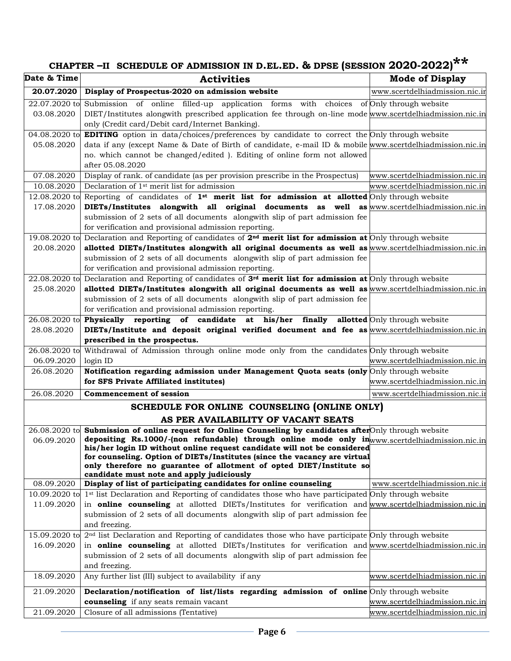# **CHAPTER –II SCHEDULE OF ADMISSION IN D.EL.ED. & DPSE (SESSION 2020-2022)\*\***

| Date & Time     | <b>Activities</b>                                                                                                                                                                                                      | <b>Mode of Display</b>                |
|-----------------|------------------------------------------------------------------------------------------------------------------------------------------------------------------------------------------------------------------------|---------------------------------------|
| 20.07.2020      | Display of Prospectus-2020 on admission website                                                                                                                                                                        | www.scertdelhiadmission.nic.ir        |
| 22.07.2020 to   | Submission of online filled-up application forms with choices of Only through website                                                                                                                                  |                                       |
| 03.08.2020      | DIET/Institutes alongwith prescribed application fee through on-line mode www.scertdelhiadmission.nic.in                                                                                                               |                                       |
|                 | only (Credit card/Debit card/Internet Banking).                                                                                                                                                                        |                                       |
| 04.08.2020 to   | <b>EDITING</b> option in data/choices/preferences by candidate to correct the Only through website                                                                                                                     |                                       |
| 05.08.2020      | data if any (except Name & Date of Birth of candidate, e-mail ID & mobile www.scertdelhiadmission.nic.in                                                                                                               |                                       |
|                 | no. which cannot be changed/edited ). Editing of online form not allowed                                                                                                                                               |                                       |
|                 | after 05.08.2020                                                                                                                                                                                                       |                                       |
| 07.08.2020      | Display of rank. of candidate (as per provision prescribe in the Prospectus)                                                                                                                                           | www.scertdelhiadmission.nic.in        |
| 10.08.2020      | Declaration of 1 <sup>st</sup> merit list for admission                                                                                                                                                                | <u>www.scertdelhiadmission.nic.in</u> |
| 12.08.2020 to   | Reporting of candidates of $1^{st}$ merit list for admission at allotted Only through website                                                                                                                          |                                       |
| 17.08.2020      | DIETs/Institutes alongwith all original documents as well as www.scertdelhiadmission.nic.in                                                                                                                            |                                       |
|                 | submission of 2 sets of all documents alongwith slip of part admission fee                                                                                                                                             |                                       |
|                 | for verification and provisional admission reporting.                                                                                                                                                                  |                                       |
| 19.08.2020 to   | Declaration and Reporting of candidates of $2^{nd}$ merit list for admission at Only through website                                                                                                                   |                                       |
| 20.08.2020      | allotted DIETs/Institutes alongwith all original documents as well as www.scertdelhiadmission.nic.in                                                                                                                   |                                       |
|                 | submission of 2 sets of all documents alongwith slip of part admission fee                                                                                                                                             |                                       |
|                 | for verification and provisional admission reporting.                                                                                                                                                                  |                                       |
| $22.08.2020$ to | Declaration and Reporting of candidates of $3^{rd}$ merit list for admission at Only through website                                                                                                                   |                                       |
| 25.08.2020      | allotted DIETs/Institutes alongwith all original documents as well as www.scertdelhiadmission.nic.in                                                                                                                   |                                       |
|                 | submission of 2 sets of all documents alongwith slip of part admission fee                                                                                                                                             |                                       |
| 26.08.2020 to   | for verification and provisional admission reporting.<br>Physically reporting of candidate at his/her finally allotted Only through website                                                                            |                                       |
| 28.08.2020      | DIETs/Institute and deposit original verified document and fee as www.scertdelhiadmission.nic.in                                                                                                                       |                                       |
|                 | prescribed in the prospectus.                                                                                                                                                                                          |                                       |
| 26.08.2020 to   | Withdrawal of Admission through online mode only from the candidates Only through website                                                                                                                              |                                       |
| 06.09.2020      | login ID                                                                                                                                                                                                               | www.scertdelhiadmission.nic.in        |
| 26.08.2020      | Notification regarding admission under Management Quota seats (only Only through website                                                                                                                               |                                       |
|                 | for SFS Private Affiliated institutes)                                                                                                                                                                                 | www.scertdelhiadmission.nic.in        |
| 26.08.2020      | <b>Commencement of session</b>                                                                                                                                                                                         | www.scertdelhiadmission.nic.ir        |
|                 |                                                                                                                                                                                                                        |                                       |
|                 | SCHEDULE FOR ONLINE COUNSELING (ONLINE ONLY)<br>AS PER AVAILABILITY OF VACANT SEATS                                                                                                                                    |                                       |
|                 | 26.08.2020 to Submission of online request for Online Counseling by candidates after Only through website                                                                                                              |                                       |
| 06.09.2020      | depositing Rs.1000/-(non refundable) through online mode only in www.scertdelhiadmission.nic.in                                                                                                                        |                                       |
|                 | his/her login ID without online request candidate will not be considered                                                                                                                                               |                                       |
|                 | for counseling. Option of DIETs/Institutes (since the vacancy are virtual                                                                                                                                              |                                       |
|                 | only therefore no guarantee of allotment of opted DIET/Institute so                                                                                                                                                    |                                       |
|                 | candidate must note and apply judiciously                                                                                                                                                                              |                                       |
| 08.09.2020      | Display of list of participating candidates for online counseling                                                                                                                                                      | www.scertdelhiadmission.nic.ir        |
| 10.09.2020 to   | 1 <sup>st</sup> list Declaration and Reporting of candidates those who have participated Only through website<br>in online counseling at allotted DIETs/Institutes for verification and www.scertdelhiadmission.nic.in |                                       |
| 11.09.2020      | submission of 2 sets of all documents alongwith slip of part admission fee                                                                                                                                             |                                       |
|                 | and freezing.                                                                                                                                                                                                          |                                       |
| 15.09.2020 to   | 2 <sup>nd</sup> list Declaration and Reporting of candidates those who have participate Only through website                                                                                                           |                                       |
| 16.09.2020      | in online counseling at allotted DIETs/Institutes for verification and www.scertdelhiadmission.nic.in                                                                                                                  |                                       |
|                 | submission of 2 sets of all documents alongwith slip of part admission fee                                                                                                                                             |                                       |
|                 | and freezing.                                                                                                                                                                                                          |                                       |
| 18.09.2020      | Any further list (III) subject to availability if any                                                                                                                                                                  | www.scertdelhiadmission.nic.in        |
|                 |                                                                                                                                                                                                                        |                                       |
| 21.09.2020      | Declaration/notification of list/lists regarding admission of online Only through website                                                                                                                              |                                       |
|                 | counseling if any seats remain vacant                                                                                                                                                                                  | www.scertdelhiadmission.nic.in        |
| 21.09.2020      | Closure of all admissions (Tentative)                                                                                                                                                                                  | www.scertdelhiadmission.nic.in        |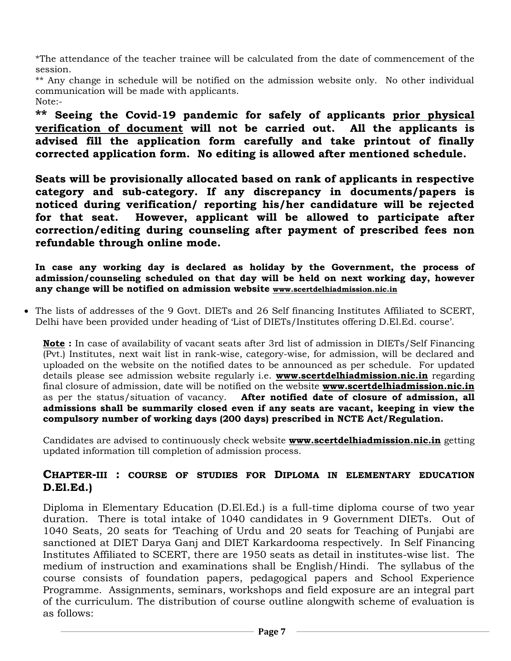\*The attendance of the teacher trainee will be calculated from the date of commencement of the session.

\*\* Any change in schedule will be notified on the admission website only. No other individual communication will be made with applicants. Note:-

**\*\* Seeing the Covid-19 pandemic for safely of applicants prior physical verification of document will not be carried out. All the applicants is advised fill the application form carefully and take printout of finally corrected application form. No editing is allowed after mentioned schedule.**

**Seats will be provisionally allocated based on rank of applicants in respective category and sub-category. If any discrepancy in documents/papers is noticed during verification/ reporting his/her candidature will be rejected for that seat. However, applicant will be allowed to participate after correction/editing during counseling after payment of prescribed fees non refundable through online mode.** 

**In case any working day is declared as holiday by the Government, the process of admission/counseling scheduled on that day will be held on next working day, however any change will be notified on admission website [www.scertdelhiadmission.nic.in](http://www.scertdelhiadmission.nic.in/)**

• The lists of addresses of the 9 Govt. DIETs and 26 Self financing Institutes Affiliated to SCERT, Delhi have been provided under heading of 'List of DIETs/Institutes offering D.El.Ed. course'.

**Note :** In case of availability of vacant seats after 3rd list of admission in DIETs/Self Financing (Pvt.) Institutes, next wait list in rank-wise, category-wise, for admission, will be declared and uploaded on the website on the notified dates to be announced as per schedule. For updated details please see admission website regularly i.e. **[www.scertdelhiadmission.nic.in](http://www.scertdelhiadmission.nic.in/)** regarding final closure of admission, date will be notified on the website **[www.scertdelhiadmission.nic.in](http://www.scertdelhiadmission.nic.in/)** as per the status/situation of vacancy. **After notified date of closure of admission, all admissions shall be summarily closed even if any seats are vacant, keeping in view the compulsory number of working days (200 days) prescribed in NCTE Act/Regulation.**

Candidates are advised to continuously check website **[www.scertdelhiadmission.nic.in](http://www.scertdelhiadmission.nic.in/)** getting updated information till completion of admission process.

# **CHAPTER-III : COURSE OF STUDIES FOR DIPLOMA IN ELEMENTARY EDUCATION D.El.Ed.)**

Diploma in Elementary Education (D.El.Ed.) is a full-time diploma course of two year duration. There is total intake of 1040 candidates in 9 Government DIETs. Out of 1040 Seats, 20 seats for 'Teaching of Urdu and 20 seats for Teaching of Punjabi are sanctioned at DIET Darya Ganj and DIET Karkardooma respectively. In Self Financing Institutes Affiliated to SCERT, there are 1950 seats as detail in institutes-wise list. The medium of instruction and examinations shall be English/Hindi. The syllabus of the course consists of foundation papers, pedagogical papers and School Experience Programme. Assignments, seminars, workshops and field exposure are an integral part of the curriculum. The distribution of course outline alongwith scheme of evaluation is as follows: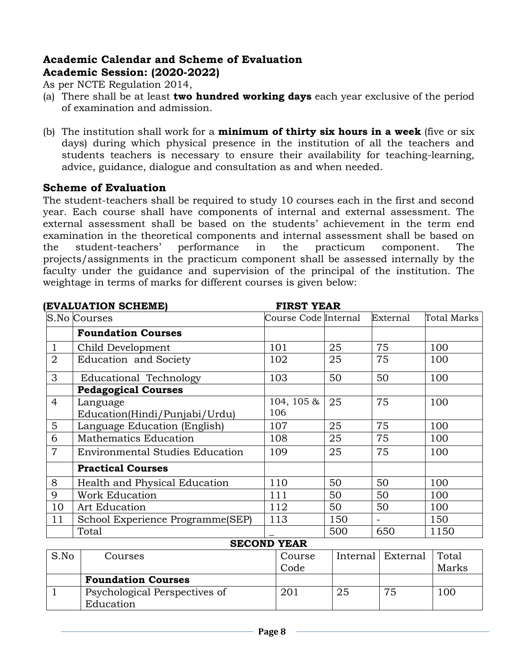# **Academic Calendar and Scheme of Evaluation Academic Session: (2020-2022)**

As per NCTE Regulation 2014,

- (a) There shall be at least **two hundred working days** each year exclusive of the period of examination and admission.
- (b) The institution shall work for a **minimum of thirty six hours in a week** (five or six days) during which physical presence in the institution of all the teachers and students teachers is necessary to ensure their availability for teaching-learning, advice, guidance, dialogue and consultation as and when needed.

# **Scheme of Evaluation**

The student-teachers shall be required to study 10 courses each in the first and second year. Each course shall have components of internal and external assessment. The external assessment shall be based on the students' achievement in the term end examination in the theoretical components and internal assessment shall be based on the student-teachers' performance in the practicum component. The projects/assignments in the practicum component shall be assessed internally by the faculty under the guidance and supervision of the principal of the institution. The weightage in terms of marks for different courses is given below:

|                | (EVALUATION SCHEME)<br><b>FIRST YEAR</b> |                      |     |                          |             |
|----------------|------------------------------------------|----------------------|-----|--------------------------|-------------|
|                | S.No Courses                             | Course Code Internal |     | External                 | Total Marks |
|                | <b>Foundation Courses</b>                |                      |     |                          |             |
| $\mathbf 1$    | Child Development                        | 101                  | 25  | 75                       | 100         |
| $\overline{2}$ | <b>Education and Society</b>             | 102                  | 25  | 75                       | 100         |
| 3              | Educational Technology                   | 103                  | 50  | 50                       | 100         |
|                | <b>Pedagogical Courses</b>               |                      |     |                          |             |
| $\overline{4}$ | Language                                 | 104, 105 $\&$        | 25  | 75                       | 100         |
|                | Education(Hindi/Punjabi/Urdu)            | 106                  |     |                          |             |
| $5^{\circ}$    | Language Education (English)             | 107                  | 25  | 75                       | 100         |
| 6              | <b>Mathematics Education</b>             | 108                  | 25  | 75                       | 100         |
| $\overline{7}$ | <b>Environmental Studies Education</b>   | 109                  | 25  | 75                       | 100         |
|                | <b>Practical Courses</b>                 |                      |     |                          |             |
| 8              | Health and Physical Education            | 110                  | 50  | 50                       | 100         |
| 9              | <b>Work Education</b>                    | 111                  | 50  | 50                       | 100         |
| 10             | <b>Art Education</b>                     | 112                  | 50  | 50                       | 100         |
| 11             | School Experience Programme(SEP)         | 113                  | 150 | $\overline{\phantom{m}}$ | 150         |
|                | Total                                    |                      | 500 | 650                      | 1150        |

#### **SECOND YEAR**

| S.No | Courses                       | Course |    | Internal   External | Total |
|------|-------------------------------|--------|----|---------------------|-------|
|      |                               | Code   |    |                     | Marks |
|      | <b>Foundation Courses</b>     |        |    |                     |       |
|      | Psychological Perspectives of | 201    | 25 | 75                  | 100   |
|      | Education                     |        |    |                     |       |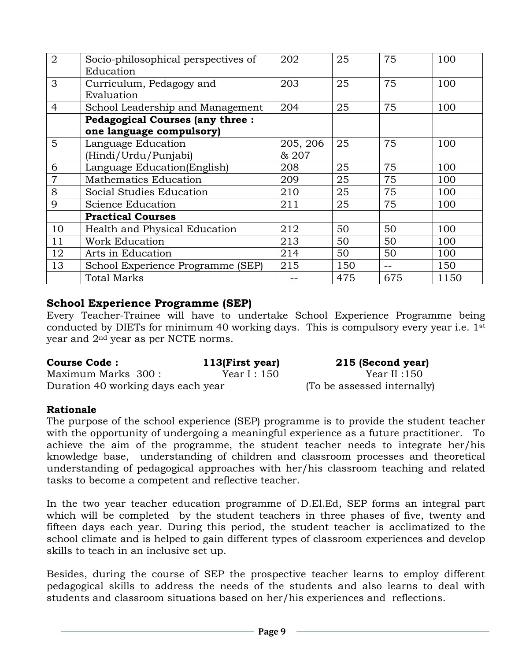| 2              | Socio-philosophical perspectives of    | 202      | 25  | 75    | 100  |
|----------------|----------------------------------------|----------|-----|-------|------|
|                | Education                              |          |     |       |      |
| 3              | Curriculum, Pedagogy and               | 203      | 25  | 75    | 100  |
|                | Evaluation                             |          |     |       |      |
| $\overline{4}$ | School Leadership and Management       | 204      | 25  | 75    | 100  |
|                | <b>Pedagogical Courses (any three:</b> |          |     |       |      |
|                | one language compulsory)               |          |     |       |      |
| 5              | Language Education                     | 205, 206 | 25  | 75    | 100  |
|                | (Hindi/Urdu/Punjabi)                   | & 207    |     |       |      |
| 6              | Language Education(English)            | 208      | 25  | 75    | 100  |
| 7              | Mathematics Education                  | 209      | 25  | 75    | 100  |
| 8              | Social Studies Education               | 210      | 25  | 75    | 100  |
| $\mathbf Q$    | Science Education                      | 211      | 25  | 75    | 100  |
|                | <b>Practical Courses</b>               |          |     |       |      |
| 10             | Health and Physical Education          | 212      | 50  | 50    | 100  |
| 11             | <b>Work Education</b>                  | 213      | 50  | 50    | 100  |
| 12             | Arts in Education                      | 214      | 50  | 50    | 100  |
| 13             | School Experience Programme (SEP)      | 215      | 150 | $- -$ | 150  |
|                | <b>Total Marks</b>                     |          | 475 | 675   | 1150 |

# **School Experience Programme (SEP)**

Every Teacher-Trainee will have to undertake School Experience Programme being conducted by DIETs for minimum 40 working days. This is compulsory every year i.e. 1<sup>st</sup> year and 2nd year as per NCTE norms.

| <b>Course Code:</b>                | 113(First year) | 215 (Second year)           |
|------------------------------------|-----------------|-----------------------------|
| Maximum Marks 300 :                | Year I : 150    | Year II :150                |
| Duration 40 working days each year |                 | (To be assessed internally) |

#### **Rationale**

The purpose of the school experience (SEP) programme is to provide the student teacher with the opportunity of undergoing a meaningful experience as a future practitioner. To achieve the aim of the programme, the student teacher needs to integrate her/his knowledge base, understanding of children and classroom processes and theoretical understanding of pedagogical approaches with her/his classroom teaching and related tasks to become a competent and reflective teacher.

In the two year teacher education programme of D.El.Ed, SEP forms an integral part which will be completed by the student teachers in three phases of five, twenty and fifteen days each year. During this period, the student teacher is acclimatized to the school climate and is helped to gain different types of classroom experiences and develop skills to teach in an inclusive set up.

Besides, during the course of SEP the prospective teacher learns to employ different pedagogical skills to address the needs of the students and also learns to deal with students and classroom situations based on her/his experiences and reflections.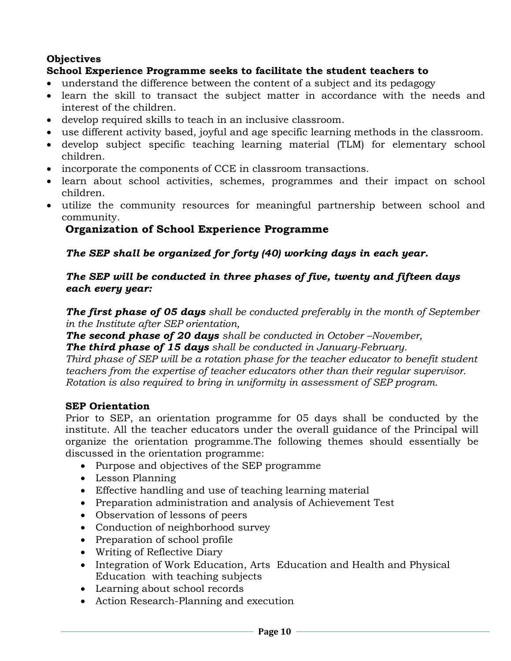## **Objectives**

# **School Experience Programme seeks to facilitate the student teachers to**

- understand the difference between the content of a subject and its pedagogy
- learn the skill to transact the subject matter in accordance with the needs and interest of the children.
- develop required skills to teach in an inclusive classroom.
- use different activity based, joyful and age specific learning methods in the classroom.
- develop subject specific teaching learning material (TLM) for elementary school children.
- incorporate the components of CCE in classroom transactions.
- learn about school activities, schemes, programmes and their impact on school children.
- utilize the community resources for meaningful partnership between school and community.

# **Organization of School Experience Programme**

## *The SEP shall be organized for forty (40) working days in each year.*

#### *The SEP will be conducted in three phases of five, twenty and fifteen days each every year:*

*The first phase of 05 days shall be conducted preferably in the month of September in the Institute after SEP orientation,*

*The second phase of 20 days shall be conducted in October –November, The third phase of 15 days shall be conducted in January-February.*

*Third phase of SEP will be a rotation phase for the teacher educator to benefit student teachers from the expertise of teacher educators other than their regular supervisor. Rotation is also required to bring in uniformity in assessment of SEP program.*

#### **SEP Orientation**

Prior to SEP, an orientation programme for 05 days shall be conducted by the institute. All the teacher educators under the overall guidance of the Principal will organize the orientation programme.The following themes should essentially be discussed in the orientation programme:

- Purpose and objectives of the SEP programme
- Lesson Planning
- Effective handling and use of teaching learning material
- Preparation administration and analysis of Achievement Test
- Observation of lessons of peers
- Conduction of neighborhood survey
- Preparation of school profile
- Writing of Reflective Diary
- Integration of Work Education, Arts Education and Health and Physical Education with teaching subjects
- Learning about school records
- Action Research-Planning and execution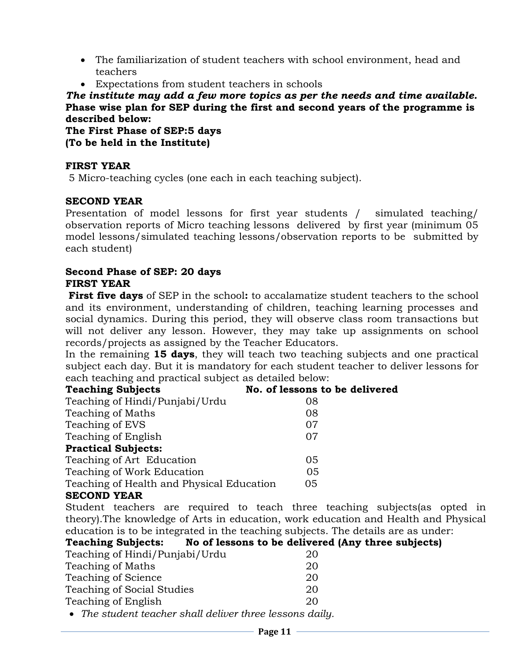- The familiarization of student teachers with school environment, head and teachers
- Expectations from student teachers in schools

*The institute may add a few more topics as per the needs and time available.* **Phase wise plan for SEP during the first and second years of the programme is described below:**

**The First Phase of SEP:5 days (To be held in the Institute)**

# **FIRST YEAR**

5 Micro-teaching cycles (one each in each teaching subject).

## **SECOND YEAR**

Presentation of model lessons for first year students / simulated teaching/ observation reports of Micro teaching lessons delivered by first year (minimum 05 model lessons/simulated teaching lessons/observation reports to be submitted by each student)

#### **Second Phase of SEP: 20 days FIRST YEAR**

**First five days** of SEP in the school: to accalamatize student teachers to the school and its environment, understanding of children, teaching learning processes and social dynamics. During this period, they will observe class room transactions but will not deliver any lesson. However, they may take up assignments on school records/projects as assigned by the Teacher Educators.

In the remaining **15 days**, they will teach two teaching subjects and one practical subject each day. But it is mandatory for each student teacher to deliver lessons for each teaching and practical subject as detailed below:

| <b>Teaching Subjects</b>                  | No. of lessons to be delivered |
|-------------------------------------------|--------------------------------|
| Teaching of Hindi/Punjabi/Urdu            | 08                             |
| <b>Teaching of Maths</b>                  | 08                             |
| Teaching of EVS                           | 07                             |
| Teaching of English                       | 07                             |
| <b>Practical Subjects:</b>                |                                |
| Teaching of Art Education                 | 05                             |
| Teaching of Work Education                | 05                             |
| Teaching of Health and Physical Education | 05                             |
| <b>CECOND VEAD</b>                        |                                |

# **SECOND YEAR**

Student teachers are required to teach three teaching subjects(as opted in theory).The knowledge of Arts in education, work education and Health and Physical education is to be integrated in the teaching subjects. The details are as under:

| <b>Teaching Subjects:</b> | No of lessons to be delivered (Any three subjects) |
|---------------------------|----------------------------------------------------|
|---------------------------|----------------------------------------------------|

| Teaching of Hindi/Punjabi/Urdu                                  | 20 |
|-----------------------------------------------------------------|----|
| <b>Teaching of Maths</b>                                        | 20 |
| <b>Teaching of Science</b>                                      | 20 |
| <b>Teaching of Social Studies</b>                               | 20 |
| Teaching of English                                             | 20 |
| $\bullet$ The student tegeber shall deliver three lessons daily |    |

• *The student teacher shall deliver three lessons daily.*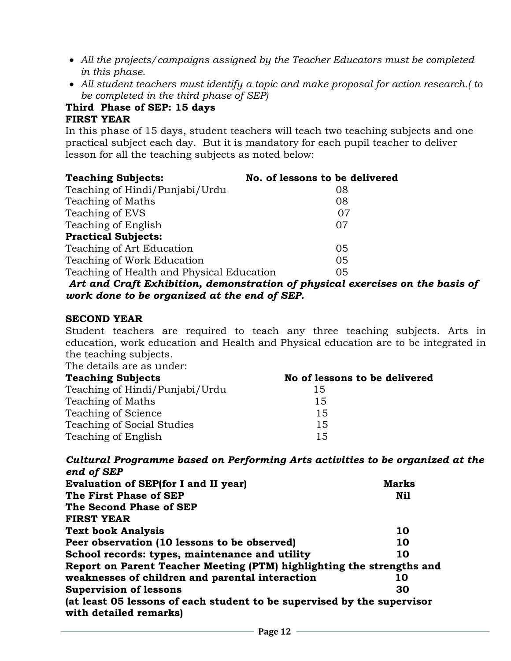- *All the projects/campaigns assigned by the Teacher Educators must be completed in this phase.*
- *All student teachers must identify a topic and make proposal for action research.( to be completed in the third phase of SEP)*

#### **Third Phase of SEP: 15 days FIRST YEAR**

In this phase of 15 days, student teachers will teach two teaching subjects and one practical subject each day. But it is mandatory for each pupil teacher to deliver lesson for all the teaching subjects as noted below:

*Art and Craft Exhibition, demonstration of physical exercises on the basis of work done to be organized at the end of SEP.* 

#### **SECOND YEAR**

Student teachers are required to teach any three teaching subjects. Arts in education, work education and Health and Physical education are to be integrated in the teaching subjects.

The details are as under:

| <b>Teaching Subjects</b>          | No of lessons to be delivered |  |  |  |  |  |
|-----------------------------------|-------------------------------|--|--|--|--|--|
| Teaching of Hindi/Punjabi/Urdu    | 15                            |  |  |  |  |  |
| <b>Teaching of Maths</b>          | 15                            |  |  |  |  |  |
| Teaching of Science               | 15                            |  |  |  |  |  |
| <b>Teaching of Social Studies</b> | 15                            |  |  |  |  |  |
| Teaching of English               | 15                            |  |  |  |  |  |

*Cultural Programme based on Performing Arts activities to be organized at the end of SEP*

| <b>Marks</b>                                                            |
|-------------------------------------------------------------------------|
| Nil                                                                     |
|                                                                         |
|                                                                         |
| 10                                                                      |
| 10                                                                      |
| 10                                                                      |
| Report on Parent Teacher Meeting (PTM) highlighting the strengths and   |
| 10                                                                      |
| 30                                                                      |
| (at least 05 lessons of each student to be supervised by the supervisor |
|                                                                         |
|                                                                         |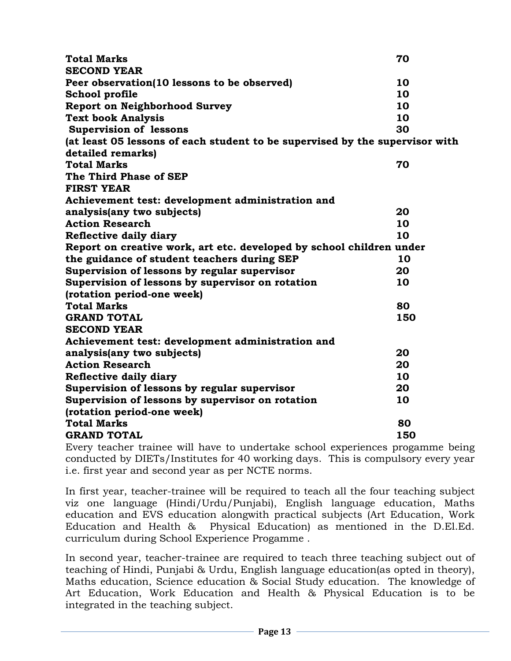| <b>Total Marks</b>                                                           | 70  |
|------------------------------------------------------------------------------|-----|
| <b>SECOND YEAR</b>                                                           |     |
| Peer observation(10 lessons to be observed)                                  | 10  |
| <b>School profile</b>                                                        | 10  |
| <b>Report on Neighborhood Survey</b>                                         | 10  |
| <b>Text book Analysis</b>                                                    | 10  |
| <b>Supervision of lessons</b>                                                | 30  |
| (at least 05 lessons of each student to be supervised by the supervisor with |     |
| detailed remarks)                                                            |     |
| <b>Total Marks</b>                                                           | 70  |
| The Third Phase of SEP                                                       |     |
| <b>FIRST YEAR</b>                                                            |     |
| Achievement test: development administration and                             |     |
| analysis(any two subjects)                                                   | 20  |
| <b>Action Research</b>                                                       | 10  |
| Reflective daily diary                                                       | 10  |
| Report on creative work, art etc. developed by school children under         |     |
| the guidance of student teachers during SEP                                  | 10  |
| Supervision of lessons by regular supervisor                                 | 20  |
| Supervision of lessons by supervisor on rotation                             | 10  |
| (rotation period-one week)                                                   |     |
| <b>Total Marks</b>                                                           | 80  |
| <b>GRAND TOTAL</b>                                                           | 150 |
| <b>SECOND YEAR</b>                                                           |     |
| Achievement test: development administration and                             |     |
| analysis(any two subjects)                                                   | 20  |
| <b>Action Research</b>                                                       | 20  |
| Reflective daily diary                                                       | 10  |
| Supervision of lessons by regular supervisor                                 | 20  |
| Supervision of lessons by supervisor on rotation                             | 10  |
| (rotation period-one week)                                                   |     |
| <b>Total Marks</b>                                                           | 80  |
| <b>GRAND TOTAL</b>                                                           | 150 |

Every teacher trainee will have to undertake school experiences progamme being conducted by DIETs/Institutes for 40 working days. This is compulsory every year i.e. first year and second year as per NCTE norms.

In first year, teacher-trainee will be required to teach all the four teaching subject viz one language (Hindi/Urdu/Punjabi), English language education, Maths education and EVS education alongwith practical subjects (Art Education, Work Education and Health & Physical Education) as mentioned in the D.El.Ed. curriculum during School Experience Progamme .

In second year, teacher-trainee are required to teach three teaching subject out of teaching of Hindi, Punjabi & Urdu, English language education(as opted in theory), Maths education, Science education & Social Study education. The knowledge of Art Education, Work Education and Health & Physical Education is to be integrated in the teaching subject.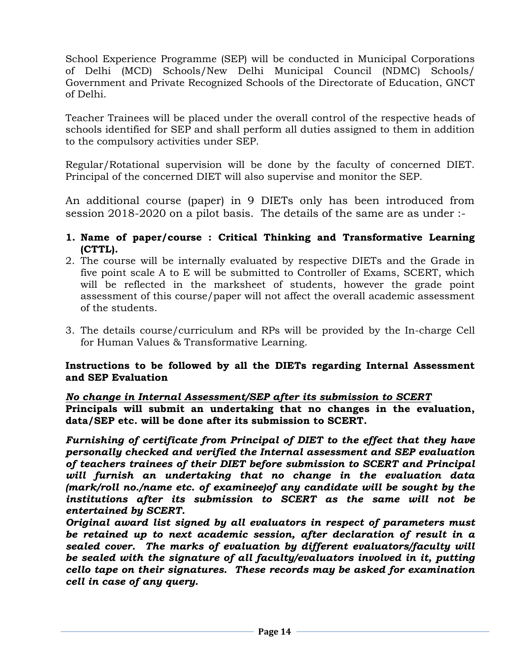School Experience Programme (SEP) will be conducted in Municipal Corporations of Delhi (MCD) Schools/New Delhi Municipal Council (NDMC) Schools/ Government and Private Recognized Schools of the Directorate of Education, GNCT of Delhi.

Teacher Trainees will be placed under the overall control of the respective heads of schools identified for SEP and shall perform all duties assigned to them in addition to the compulsory activities under SEP.

Regular/Rotational supervision will be done by the faculty of concerned DIET. Principal of the concerned DIET will also supervise and monitor the SEP.

An additional course (paper) in 9 DIETs only has been introduced from session 2018-2020 on a pilot basis. The details of the same are as under :-

- **1. Name of paper/course : Critical Thinking and Transformative Learning (CTTL).**
- 2. The course will be internally evaluated by respective DIETs and the Grade in five point scale A to E will be submitted to Controller of Exams, SCERT, which will be reflected in the marksheet of students, however the grade point assessment of this course/paper will not affect the overall academic assessment of the students.
- 3. The details course/curriculum and RPs will be provided by the In-charge Cell for Human Values & Transformative Learning.

#### **Instructions to be followed by all the DIETs regarding Internal Assessment and SEP Evaluation**

#### *No change in Internal Assessment/SEP after its submission to SCERT* **Principals will submit an undertaking that no changes in the evaluation, data/SEP etc. will be done after its submission to SCERT.**

*Furnishing of certificate from Principal of DIET to the effect that they have personally checked and verified the Internal assessment and SEP evaluation of teachers trainees of their DIET before submission to SCERT and Principal will furnish an undertaking that no change in the evaluation data (mark/roll no./name etc. of examinee)of any candidate will be sought by the institutions after its submission to SCERT as the same will not be entertained by SCERT.* 

*Original award list signed by all evaluators in respect of parameters must be retained up to next academic session, after declaration of result in a sealed cover. The marks of evaluation by different evaluators/faculty will*  be sealed with the signature of all faculty/evaluators involved in it, putting *cello tape on their signatures. These records may be asked for examination cell in case of any query.*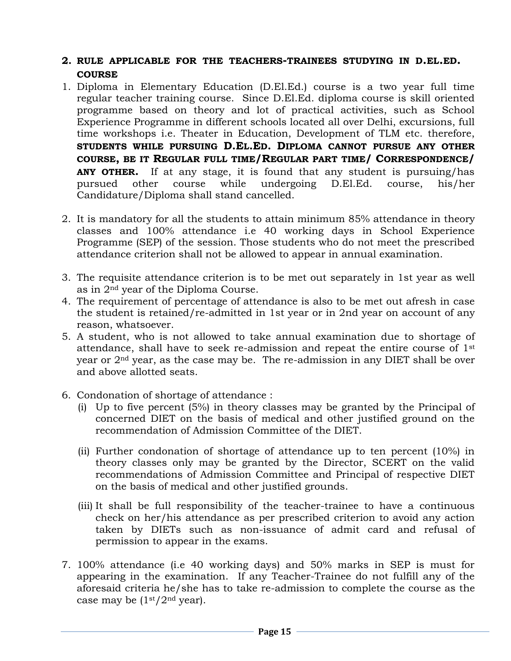#### **2. RULE APPLICABLE FOR THE TEACHERS-TRAINEES STUDYING IN D.EL.ED. COURSE**

- 1. Diploma in Elementary Education (D.El.Ed.) course is a two year full time regular teacher training course. Since D.El.Ed. diploma course is skill oriented programme based on theory and lot of practical activities, such as School Experience Programme in different schools located all over Delhi, excursions, full time workshops i.e. Theater in Education, Development of TLM etc. therefore, **STUDENTS WHILE PURSUING D.EL.ED. DIPLOMA CANNOT PURSUE ANY OTHER COURSE, BE IT REGULAR FULL TIME/REGULAR PART TIME/ CORRESPONDENCE/ ANY OTHER.** If at any stage, it is found that any student is pursuing/has pursued other course while undergoing D.El.Ed. course, his/her Candidature/Diploma shall stand cancelled.
- 2. It is mandatory for all the students to attain minimum 85% attendance in theory classes and 100% attendance i.e 40 working days in School Experience Programme (SEP) of the session. Those students who do not meet the prescribed attendance criterion shall not be allowed to appear in annual examination.
- 3. The requisite attendance criterion is to be met out separately in 1st year as well as in 2nd year of the Diploma Course.
- 4. The requirement of percentage of attendance is also to be met out afresh in case the student is retained/re-admitted in 1st year or in 2nd year on account of any reason, whatsoever.
- 5. A student, who is not allowed to take annual examination due to shortage of attendance, shall have to seek re-admission and repeat the entire course of 1st year or 2nd year, as the case may be. The re-admission in any DIET shall be over and above allotted seats.
- 6. Condonation of shortage of attendance :
	- (i) Up to five percent (5%) in theory classes may be granted by the Principal of concerned DIET on the basis of medical and other justified ground on the recommendation of Admission Committee of the DIET.
	- (ii) Further condonation of shortage of attendance up to ten percent (10%) in theory classes only may be granted by the Director, SCERT on the valid recommendations of Admission Committee and Principal of respective DIET on the basis of medical and other justified grounds.
	- (iii) It shall be full responsibility of the teacher-trainee to have a continuous check on her/his attendance as per prescribed criterion to avoid any action taken by DIETs such as non-issuance of admit card and refusal of permission to appear in the exams.
- 7. 100% attendance (i.e 40 working days) and 50% marks in SEP is must for appearing in the examination. If any Teacher-Trainee do not fulfill any of the aforesaid criteria he/she has to take re-admission to complete the course as the case may be  $(1<sup>st</sup>/2<sup>nd</sup>$  year).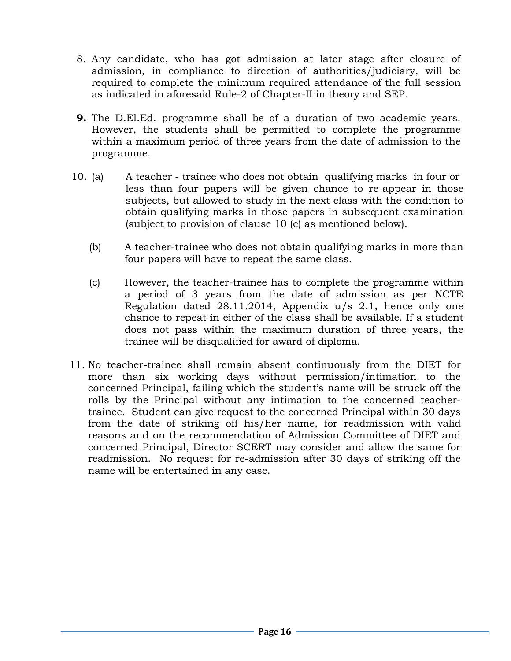- 8. Any candidate, who has got admission at later stage after closure of admission, in compliance to direction of authorities/judiciary, will be required to complete the minimum required attendance of the full session as indicated in aforesaid Rule-2 of Chapter-II in theory and SEP.
- **9.** The D.El.Ed. programme shall be of a duration of two academic years. However, the students shall be permitted to complete the programme within a maximum period of three years from the date of admission to the programme.
- 10. (a) A teacher trainee who does not obtain qualifying marks in four or less than four papers will be given chance to re-appear in those subjects, but allowed to study in the next class with the condition to obtain qualifying marks in those papers in subsequent examination (subject to provision of clause 10 (c) as mentioned below).
	- (b) A teacher-trainee who does not obtain qualifying marks in more than four papers will have to repeat the same class.
	- (c) However, the teacher-trainee has to complete the programme within a period of 3 years from the date of admission as per NCTE Regulation dated 28.11.2014, Appendix u/s 2.1, hence only one chance to repeat in either of the class shall be available. If a student does not pass within the maximum duration of three years, the trainee will be disqualified for award of diploma.
- 11. No teacher-trainee shall remain absent continuously from the DIET for more than six working days without permission/intimation to the concerned Principal, failing which the student's name will be struck off the rolls by the Principal without any intimation to the concerned teachertrainee. Student can give request to the concerned Principal within 30 days from the date of striking off his/her name, for readmission with valid reasons and on the recommendation of Admission Committee of DIET and concerned Principal, Director SCERT may consider and allow the same for readmission. No request for re-admission after 30 days of striking off the name will be entertained in any case.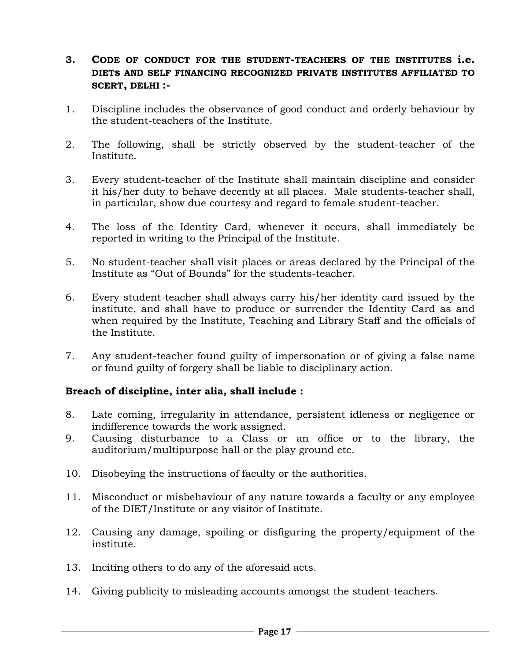## **3. CODE OF CONDUCT FOR THE STUDENT-TEACHERS OF THE INSTITUTES i.e. DIETs AND SELF FINANCING RECOGNIZED PRIVATE INSTITUTES AFFILIATED TO SCERT, DELHI :-**

- 1. Discipline includes the observance of good conduct and orderly behaviour by the student-teachers of the Institute.
- 2. The following, shall be strictly observed by the student-teacher of the Institute.
- 3. Every student-teacher of the Institute shall maintain discipline and consider it his/her duty to behave decently at all places. Male students-teacher shall, in particular, show due courtesy and regard to female student-teacher.
- 4. The loss of the Identity Card, whenever it occurs, shall immediately be reported in writing to the Principal of the Institute.
- 5. No student-teacher shall visit places or areas declared by the Principal of the Institute as "Out of Bounds" for the students-teacher.
- 6. Every student-teacher shall always carry his/her identity card issued by the institute, and shall have to produce or surrender the Identity Card as and when required by the Institute, Teaching and Library Staff and the officials of the Institute.
- 7. Any student-teacher found guilty of impersonation or of giving a false name or found guilty of forgery shall be liable to disciplinary action.

## **Breach of discipline, inter alia, shall include :**

- 8. Late coming, irregularity in attendance, persistent idleness or negligence or indifference towards the work assigned.
- 9. Causing disturbance to a Class or an office or to the library, the auditorium/multipurpose hall or the play ground etc.
- 10. Disobeying the instructions of faculty or the authorities.
- 11. Misconduct or misbehaviour of any nature towards a faculty or any employee of the DIET/Institute or any visitor of Institute.
- 12. Causing any damage, spoiling or disfiguring the property/equipment of the institute.
- 13. Inciting others to do any of the aforesaid acts.
- 14. Giving publicity to misleading accounts amongst the student-teachers.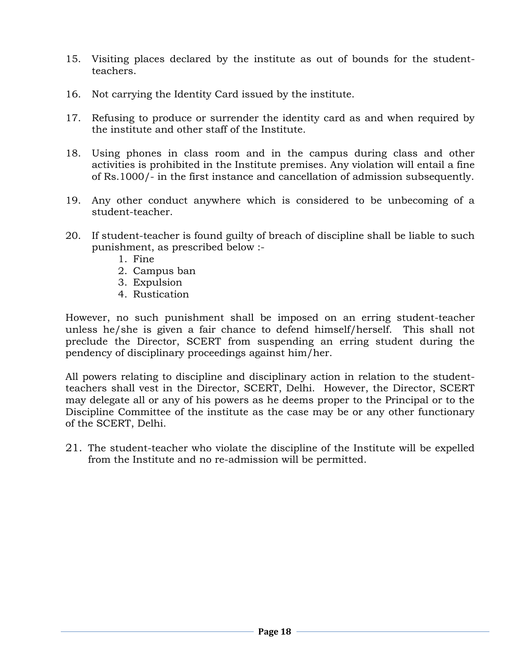- 15. Visiting places declared by the institute as out of bounds for the studentteachers.
- 16. Not carrying the Identity Card issued by the institute.
- 17. Refusing to produce or surrender the identity card as and when required by the institute and other staff of the Institute.
- 18. Using phones in class room and in the campus during class and other activities is prohibited in the Institute premises. Any violation will entail a fine of Rs.1000/- in the first instance and cancellation of admission subsequently.
- 19. Any other conduct anywhere which is considered to be unbecoming of a student-teacher.
- 20. If student-teacher is found guilty of breach of discipline shall be liable to such punishment, as prescribed below :-
	- 1. Fine
	- 2. Campus ban
	- 3. Expulsion
	- 4. Rustication

However, no such punishment shall be imposed on an erring student-teacher unless he/she is given a fair chance to defend himself/herself. This shall not preclude the Director, SCERT from suspending an erring student during the pendency of disciplinary proceedings against him/her.

All powers relating to discipline and disciplinary action in relation to the studentteachers shall vest in the Director, SCERT, Delhi. However, the Director, SCERT may delegate all or any of his powers as he deems proper to the Principal or to the Discipline Committee of the institute as the case may be or any other functionary of the SCERT, Delhi.

21. The student-teacher who violate the discipline of the Institute will be expelled from the Institute and no re-admission will be permitted.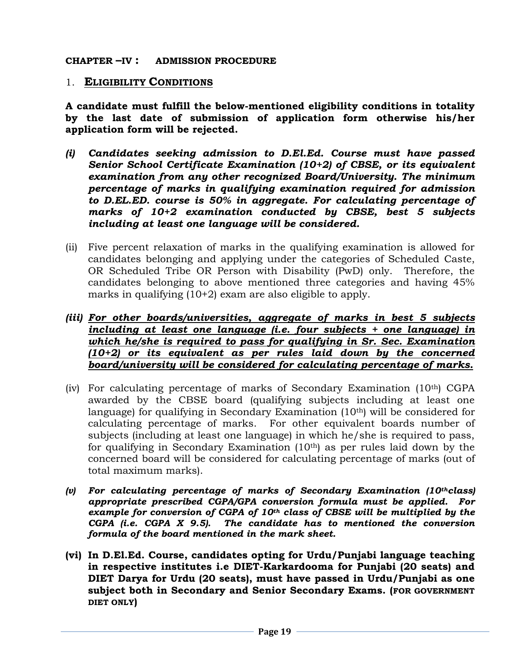#### **CHAPTER –IV : ADMISSION PROCEDURE**

#### 1. **ELIGIBILITY CONDITIONS**

**A candidate must fulfill the below-mentioned eligibility conditions in totality by the last date of submission of application form otherwise his/her application form will be rejected.** 

- *(i) Candidates seeking admission to D.El.Ed. Course must have passed Senior School Certificate Examination (10+2) of CBSE, or its equivalent examination from any other recognized Board/University. The minimum percentage of marks in qualifying examination required for admission to D.EL.ED. course is 50% in aggregate. For calculating percentage of marks of 10+2 examination conducted by CBSE, best 5 subjects including at least one language will be considered.*
- (ii) Five percent relaxation of marks in the qualifying examination is allowed for candidates belonging and applying under the categories of Scheduled Caste, OR Scheduled Tribe OR Person with Disability (PwD) only. Therefore, the candidates belonging to above mentioned three categories and having 45% marks in qualifying (10+2) exam are also eligible to apply.
- *(iii) For other boards/universities, aggregate of marks in best 5 subjects including at least one language (i.e. four subjects + one language) in which he/she is required to pass for qualifying in Sr. Sec. Examination (10+2) or its equivalent as per rules laid down by the concerned board/university will be considered for calculating percentage of marks.*
- (iv) For calculating percentage of marks of Secondary Examination (10th) CGPA awarded by the CBSE board (qualifying subjects including at least one language) for qualifying in Secondary Examination (10<sup>th</sup>) will be considered for calculating percentage of marks. For other equivalent boards number of subjects (including at least one language) in which he/she is required to pass, for qualifying in Secondary Examination (10th) as per rules laid down by the concerned board will be considered for calculating percentage of marks (out of total maximum marks).
- *(v) For calculating percentage of marks of Secondary Examination (10thclass) appropriate prescribed CGPA/GPA conversion formula must be applied. For example for conversion of CGPA of 10th class of CBSE will be multiplied by the CGPA (i.e. CGPA X 9.5). The candidate has to mentioned the conversion formula of the board mentioned in the mark sheet.*
- **(vi) In D.El.Ed. Course, candidates opting for Urdu/Punjabi language teaching in respective institutes i.e DIET-Karkardooma for Punjabi (20 seats) and DIET Darya for Urdu (20 seats), must have passed in Urdu/Punjabi as one subject both in Secondary and Senior Secondary Exams. (FOR GOVERNMENT DIET ONLY)**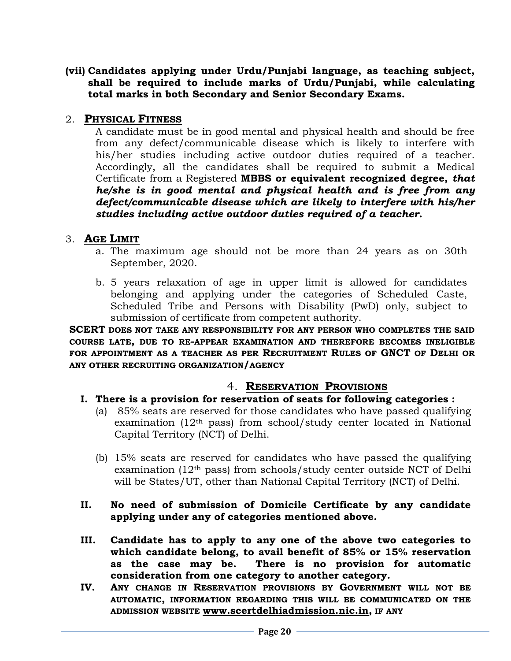**(vii) Candidates applying under Urdu/Punjabi language, as teaching subject, shall be required to include marks of Urdu/Punjabi, while calculating total marks in both Secondary and Senior Secondary Exams.**

#### 2. **PHYSICAL FITNESS**

A candidate must be in good mental and physical health and should be free from any defect/communicable disease which is likely to interfere with his/her studies including active outdoor duties required of a teacher. Accordingly, all the candidates shall be required to submit a Medical Certificate from a Registered **MBBS or equivalent recognized degree,** *that he/she is in good mental and physical health and is free from any defect/communicable disease which are likely to interfere with his/her studies including active outdoor duties required of a teacher.* 

#### 3. **AGE LIMIT**

- a. The maximum age should not be more than 24 years as on 30th September, 2020.
- b. 5 years relaxation of age in upper limit is allowed for candidates belonging and applying under the categories of Scheduled Caste, Scheduled Tribe and Persons with Disability (PwD) only, subject to submission of certificate from competent authority.

**SCERT DOES NOT TAKE ANY RESPONSIBILITY FOR ANY PERSON WHO COMPLETES THE SAID COURSE LATE, DUE TO RE-APPEAR EXAMINATION AND THEREFORE BECOMES INELIGIBLE FOR APPOINTMENT AS A TEACHER AS PER RECRUITMENT RULES OF GNCT OF DELHI OR ANY OTHER RECRUITING ORGANIZATION/AGENCY** 

## 4. **RESERVATION PROVISIONS**

- **I. There is a provision for reservation of seats for following categories :**
	- (a) 85% seats are reserved for those candidates who have passed qualifying examination (12th pass) from school/study center located in National Capital Territory (NCT) of Delhi.
	- (b) 15% seats are reserved for candidates who have passed the qualifying examination (12th pass) from schools/study center outside NCT of Delhi will be States/UT, other than National Capital Territory (NCT) of Delhi.

#### **II. No need of submission of Domicile Certificate by any candidate applying under any of categories mentioned above.**

- **III. Candidate has to apply to any one of the above two categories to which candidate belong, to avail benefit of 85% or 15% reservation as the case may be. There is no provision for automatic consideration from one category to another category.**
- **IV. ANY CHANGE IN RESERVATION PROVISIONS BY GOVERNMENT WILL NOT BE AUTOMATIC, INFORMATION REGARDING THIS WILL BE COMMUNICATED ON THE ADMISSION WEBSITE [www.scertdelhiadmission.nic.in,](http://www.scertdelhiadmission.nic.in/) IF ANY**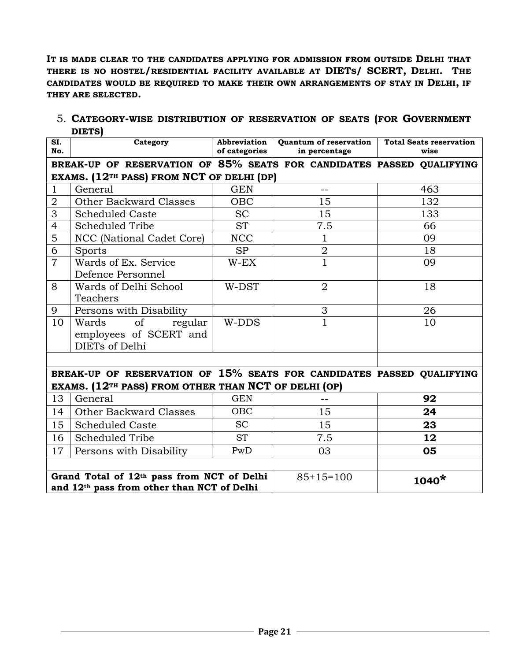**IT IS MADE CLEAR TO THE CANDIDATES APPLYING FOR ADMISSION FROM OUTSIDE DELHI THAT THERE IS NO HOSTEL/RESIDENTIAL FACILITY AVAILABLE AT DIETS/ SCERT, DELHI. THE CANDIDATES WOULD BE REQUIRED TO MAKE THEIR OWN ARRANGEMENTS OF STAY IN DELHI, IF THEY ARE SELECTED.**

| SI.<br>No.     | וטושוע<br>Category                                                    | Abbreviation<br>of categories | Quantum of reservation | <b>Total Seats reservation</b><br>wise |  |  |
|----------------|-----------------------------------------------------------------------|-------------------------------|------------------------|----------------------------------------|--|--|
|                |                                                                       |                               | in percentage          |                                        |  |  |
|                | BREAK-UP OF RESERVATION OF 85% SEATS FOR CANDIDATES PASSED QUALIFYING |                               |                        |                                        |  |  |
|                | EXAMS. (12 <sup>TH</sup> PASS) FROM NCT OF DELHI (DP)                 |                               |                        |                                        |  |  |
| $\mathbf{1}$   | General                                                               | <b>GEN</b>                    | $=$                    | 463                                    |  |  |
| $\mathbf 2$    | <b>Other Backward Classes</b>                                         | <b>OBC</b>                    | 15                     | 132                                    |  |  |
| 3              | <b>Scheduled Caste</b>                                                | <b>SC</b>                     | 15                     | 133                                    |  |  |
| 4              | Scheduled Tribe                                                       | <b>ST</b>                     | 7.5                    | 66                                     |  |  |
| 5              | NCC (National Cadet Core)                                             | <b>NCC</b>                    | $\mathbf{1}$           | 09                                     |  |  |
| 6              | Sports                                                                | <b>SP</b>                     | $\boldsymbol{2}$       | 18                                     |  |  |
| $\overline{7}$ | Wards of Ex. Service                                                  | $W$ -EX                       | $\overline{1}$         | 09                                     |  |  |
|                | Defence Personnel                                                     |                               |                        |                                        |  |  |
| 8              | Wards of Delhi School                                                 | W-DST                         | $\overline{2}$         | 18                                     |  |  |
|                | Teachers                                                              |                               |                        |                                        |  |  |
| 9              | Persons with Disability                                               |                               | 3                      | 26                                     |  |  |
| 10             | regular<br>Wards<br><sub>of</sub>                                     | W-DDS                         | $\mathbf{1}$           | 10                                     |  |  |
|                | employees of SCERT and                                                |                               |                        |                                        |  |  |
|                | DIETs of Delhi                                                        |                               |                        |                                        |  |  |
|                |                                                                       |                               |                        |                                        |  |  |
|                | BREAK-UP OF RESERVATION OF 15% SEATS FOR CANDIDATES PASSED QUALIFYING |                               |                        |                                        |  |  |
|                | EXAMS. (12 <sup>TH</sup> PASS) FROM OTHER THAN NCT OF DELHI (OP)      |                               |                        |                                        |  |  |
| 13             | General                                                               | <b>GEN</b>                    | $-1$                   | 92                                     |  |  |
| 14             | <b>Other Backward Classes</b>                                         | <b>OBC</b>                    | 15                     | 24                                     |  |  |
| 15             | <b>Scheduled Caste</b>                                                | <b>SC</b>                     | 15                     | 23                                     |  |  |
| 16             | <b>Scheduled Tribe</b>                                                | <b>ST</b>                     | 7.5                    | 12                                     |  |  |
| 17             | Persons with Disability                                               | PwD                           | 03                     | 05                                     |  |  |
|                |                                                                       |                               |                        |                                        |  |  |
|                | Grand Total of 12th pass from NCT of Delhi                            |                               | $85+15=100$            | $1040*$                                |  |  |
|                | and 12th pass from other than NCT of Delhi                            |                               |                        |                                        |  |  |

5. **CATEGORY-WISE DISTRIBUTION OF RESERVATION OF SEATS (FOR GOVERNMENT DIETS)**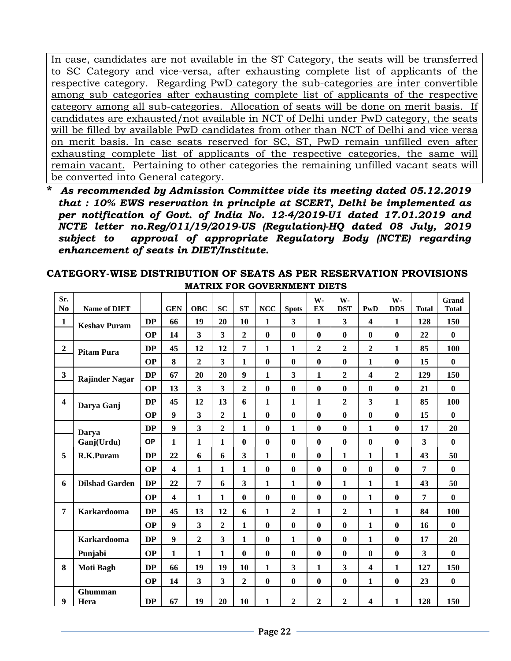In case, candidates are not available in the ST Category, the seats will be transferred to SC Category and vice-versa, after exhausting complete list of applicants of the respective category. Regarding PwD category the sub-categories are inter convertible among sub categories after exhausting complete list of applicants of the respective category among all sub-categories. Allocation of seats will be done on merit basis. If candidates are exhausted/not available in NCT of Delhi under PwD category, the seats will be filled by available PwD candidates from other than NCT of Delhi and vice versa on merit basis. In case seats reserved for SC, ST, PwD remain unfilled even after exhausting complete list of applicants of the respective categories, the same will remain vacant. Pertaining to other categories the remaining unfilled vacant seats will be converted into General category.

**\*** *As recommended by Admission Committee vide its meeting dated 05.12.2019 that : 10% EWS reservation in principle at SCERT, Delhi be implemented as per notification of Govt. of India No. 12-4/2019-U1 dated 17.01.2019 and NCTE letter no.Reg/011/19/2019-US (Regulation)-HQ dated 08 July, 2019 subject to approval of appropriate Regulatory Body (NCTE) regarding enhancement of seats in DIET/Institute.*

| Sr.<br>N <sub>o</sub> | <b>Name of DIET</b>   |           | <b>GEN</b>              | <b>OBC</b>              | <b>SC</b>               | <b>ST</b>               | NCC          | <b>Spots</b>            | W-<br>EX       | W-<br><b>DST</b> | PwD                     | W-<br><b>DDS</b> | <b>Total</b>            | Grand<br><b>Total</b> |
|-----------------------|-----------------------|-----------|-------------------------|-------------------------|-------------------------|-------------------------|--------------|-------------------------|----------------|------------------|-------------------------|------------------|-------------------------|-----------------------|
| $\mathbf{1}$          |                       | <b>DP</b> | 66                      | 19                      | 20                      | 10                      | $\mathbf{1}$ | $\overline{\mathbf{3}}$ | $\mathbf{1}$   | $\mathbf{3}$     | $\overline{\mathbf{4}}$ | $\mathbf{1}$     | 128                     | 150                   |
|                       | <b>Keshav Puram</b>   | <b>OP</b> | 14                      | 3                       | $\overline{\mathbf{3}}$ | $\overline{2}$          | $\bf{0}$     | $\bf{0}$                | $\bf{0}$       | $\bf{0}$         | $\bf{0}$                | $\bf{0}$         | 22                      | $\bf{0}$              |
| $\boldsymbol{2}$      |                       | <b>DP</b> | 45                      | 12                      | 12                      | 7                       | $\mathbf{1}$ | $\mathbf{1}$            | $\overline{2}$ | $\overline{2}$   | $\overline{2}$          | $\mathbf{1}$     | 85                      | 100                   |
|                       | <b>Pitam Pura</b>     | <b>OP</b> | 8                       | $\overline{2}$          | $\overline{\mathbf{3}}$ | $\mathbf{1}$            | $\bf{0}$     | $\bf{0}$                | $\bf{0}$       | $\bf{0}$         | $\mathbf{1}$            | $\bf{0}$         | 15                      | $\bf{0}$              |
| $\mathbf{3}$          |                       | <b>DP</b> | 67                      | 20                      | 20                      | $\boldsymbol{9}$        | 1            | $\overline{\mathbf{3}}$ | $\mathbf{1}$   | $\overline{2}$   | $\overline{\mathbf{4}}$ | $\overline{2}$   | 129                     | 150                   |
|                       | <b>Rajinder Nagar</b> | <b>OP</b> | 13                      | $\overline{\mathbf{3}}$ | $\overline{\mathbf{3}}$ |                         | $\bf{0}$     | $\bf{0}$                | $\mathbf{0}$   |                  | $\mathbf{0}$            | $\bf{0}$         | 21                      | $\bf{0}$              |
|                       |                       |           |                         |                         |                         | $\overline{2}$          |              |                         |                | $\bf{0}$         |                         |                  |                         |                       |
| $\boldsymbol{4}$      | Darya Ganj            | DP        | 45                      | 12                      | 13                      | 6                       | $\mathbf{1}$ | $\mathbf{1}$            | $\mathbf{1}$   | $\overline{2}$   | $\overline{\mathbf{3}}$ | $\mathbf{1}$     | 85                      | 100                   |
|                       |                       | <b>OP</b> | 9                       | $\overline{\mathbf{3}}$ | $\overline{2}$          | $\mathbf{1}$            | $\bf{0}$     | $\bf{0}$                | $\bf{0}$       | $\bf{0}$         | $\bf{0}$                | $\bf{0}$         | 15                      | $\bf{0}$              |
|                       | Darya                 | <b>DP</b> | $\boldsymbol{9}$        | 3                       | $\overline{2}$          | $\mathbf{1}$            | $\bf{0}$     | $\mathbf{1}$            | $\bf{0}$       | $\bf{0}$         | $\mathbf{1}$            | $\bf{0}$         | 17                      | 20                    |
|                       | Ganj(Urdu)            | <b>OP</b> | 1                       | $\mathbf{1}$            | $\mathbf{1}$            | $\bf{0}$                | $\bf{0}$     | $\bf{0}$                | $\bf{0}$       | $\bf{0}$         | $\bf{0}$                | $\bf{0}$         | 3                       | $\mathbf{0}$          |
| 5                     | R.K.Puram             | <b>DP</b> | 22                      | 6                       | 6                       | $\overline{\mathbf{3}}$ | 1            | $\bf{0}$                | $\bf{0}$       | $\mathbf{1}$     | $\mathbf{1}$            | $\mathbf{1}$     | 43                      | 50                    |
|                       |                       | <b>OP</b> | $\overline{\mathbf{4}}$ | $\mathbf{1}$            | $\mathbf{1}$            | $\mathbf{1}$            | $\bf{0}$     | $\bf{0}$                | $\bf{0}$       | $\bf{0}$         | $\bf{0}$                | $\bf{0}$         | 7                       | $\bf{0}$              |
| 6                     | <b>Dilshad Garden</b> | <b>DP</b> | 22                      | 7                       | 6                       | $\overline{\mathbf{3}}$ | 1            | $\mathbf{1}$            | $\bf{0}$       | $\mathbf{1}$     | $\mathbf{1}$            | $\mathbf{1}$     | 43                      | 50                    |
|                       |                       | <b>OP</b> | 4                       | 1                       | 1                       | $\bf{0}$                | $\bf{0}$     | $\bf{0}$                | $\bf{0}$       | $\bf{0}$         | $\mathbf{1}$            | $\bf{0}$         | 7                       | $\mathbf{0}$          |
| 7                     | <b>Karkardooma</b>    | <b>DP</b> | 45                      | 13                      | 12                      | 6                       | $\mathbf{1}$ | $\overline{2}$          | $\mathbf{1}$   | $\overline{2}$   | $\mathbf{1}$            | $\mathbf{1}$     | 84                      | 100                   |
|                       |                       | <b>OP</b> | $\boldsymbol{9}$        | $\overline{\mathbf{3}}$ | $\overline{2}$          | $\mathbf{1}$            | $\bf{0}$     | $\bf{0}$                | $\mathbf{0}$   | $\bf{0}$         | $\mathbf{1}$            | $\mathbf{0}$     | 16                      | $\mathbf{0}$          |
|                       | <b>Karkardooma</b>    | DP        | $\boldsymbol{9}$        | $\overline{2}$          | $\overline{\mathbf{3}}$ | $\mathbf{1}$            | $\bf{0}$     | $\mathbf{1}$            | $\bf{0}$       | $\bf{0}$         | $\mathbf{1}$            | $\bf{0}$         | 17                      | 20                    |
|                       | Punjabi               | <b>OP</b> | 1                       | 1                       | $\mathbf{1}$            | $\bf{0}$                | $\bf{0}$     | $\bf{0}$                | $\bf{0}$       | $\bf{0}$         | $\bf{0}$                | $\bf{0}$         | $\overline{\mathbf{3}}$ | $\bf{0}$              |
| 8                     | <b>Moti Bagh</b>      | <b>DP</b> | 66                      | 19                      | 19                      | 10                      | $\mathbf{1}$ | $\overline{\mathbf{3}}$ | $\mathbf{1}$   | 3                | $\overline{\mathbf{4}}$ | $\mathbf{1}$     | 127                     | 150                   |
|                       |                       | <b>OP</b> | 14                      | $\overline{\mathbf{3}}$ | $\overline{\mathbf{3}}$ | $\overline{2}$          | $\bf{0}$     | $\bf{0}$                | $\bf{0}$       | $\bf{0}$         | $\mathbf{1}$            | $\bf{0}$         | 23                      | $\bf{0}$              |
| 9                     | Ghumman<br>Hera       | DP        | 67                      | 19                      | 20                      | 10                      | 1            | $\overline{2}$          | $\overline{2}$ | $\overline{2}$   | $\overline{\mathbf{4}}$ | $\mathbf{1}$     | 128                     | 150                   |

#### **CATEGORY-WISE DISTRIBUTION OF SEATS AS PER RESERVATION PROVISIONS MATRIX FOR GOVERNMENT DIETS**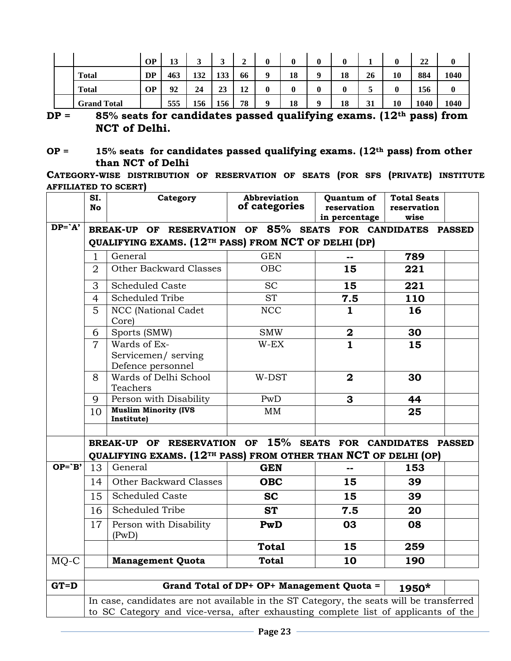|                    | <b>OP</b> | 13  | ◠<br>ັ | ◠<br>ັ | ◠<br>◢            | 0 | 0  | 0           | 0  |    | 0  | 22   | 0    |
|--------------------|-----------|-----|--------|--------|-------------------|---|----|-------------|----|----|----|------|------|
| <b>Total</b>       | <b>DP</b> | 463 | 132    | 133    | 66                |   | 18 | $\mathbf o$ | 18 | 26 | 10 | 884  | 1040 |
| <b>Total</b>       | <b>OP</b> | 92  | 24     | 23     | $12^{\circ}$<br>┸ |   | 0  | 0           | 0  |    | 0  | 156  | 0    |
| <b>Grand Total</b> |           | 555 | 156    | 156    | 78                |   | 18 | Q           | 18 | 31 | 10 | 1040 | 1040 |

**DP = 85% seats for candidates passed qualifying exams. (12th pass) from NCT of Delhi.**

**CATEGORY-WISE DISTRIBUTION OF RESERVATION OF SEATS (FOR SFS (PRIVATE) INSTITUTE AFFILIATED TO SCERT)**

|           | SI.<br><b>No</b> | Category                                                                                                                                  | Abbreviation<br>of categories             | Quantum of<br>reservation | <b>Total Seats</b><br>reservation |  |
|-----------|------------------|-------------------------------------------------------------------------------------------------------------------------------------------|-------------------------------------------|---------------------------|-----------------------------------|--|
|           |                  |                                                                                                                                           |                                           | in percentage             | wise                              |  |
| $DP = A'$ |                  | BREAK-UP OF RESERVATION OF 85% SEATS FOR CANDIDATES PASSED<br>QUALIFYING EXAMS. (12 <sup>TH</sup> PASS) FROM NCT OF DELHI (DP)            |                                           |                           |                                   |  |
|           | 1                | General                                                                                                                                   | <b>GEN</b>                                |                           | 789                               |  |
|           | $\overline{2}$   | Other Backward Classes                                                                                                                    | OBC                                       | 15                        | 221                               |  |
|           | 3                | <b>Scheduled Caste</b>                                                                                                                    | <b>SC</b>                                 | 15                        | 221                               |  |
|           | $\overline{4}$   | <b>Scheduled Tribe</b>                                                                                                                    | <b>ST</b>                                 | 7.5                       | 110                               |  |
|           | 5                | NCC (National Cadet<br>Core)                                                                                                              | <b>NCC</b>                                | $\mathbf{1}$              | 16                                |  |
|           | 6                | Sports (SMW)                                                                                                                              | <b>SMW</b>                                | $\overline{\mathbf{2}}$   | 30                                |  |
|           | $\overline{7}$   | Wards of Ex-<br>Servicemen/serving<br>Defence personnel                                                                                   | $W$ -EX                                   | $\overline{1}$            | 15                                |  |
|           | 8                | Wards of Delhi School<br>Teachers                                                                                                         | W-DST                                     | $\mathbf{2}$              | 30                                |  |
|           | 9                | Person with Disability                                                                                                                    | PwD                                       | 3                         | 44                                |  |
|           | 10               | <b>Muslim Minority (IVS</b><br>Institute)                                                                                                 | MM                                        |                           | 25                                |  |
|           |                  |                                                                                                                                           |                                           |                           |                                   |  |
|           |                  | BREAK-UP OF RESERVATION OF 15% SEATS FOR CANDIDATES PASSED<br>QUALIFYING EXAMS. (12 <sup>TH</sup> PASS) FROM OTHER THAN NCT OF DELHI (OP) |                                           |                           |                                   |  |
| $OP='B'$  | 13               | General                                                                                                                                   | <b>GEN</b>                                | --                        | 153                               |  |
|           | 14               | Other Backward Classes                                                                                                                    | <b>OBC</b>                                | 15                        | 39                                |  |
|           | 15               | <b>Scheduled Caste</b>                                                                                                                    | <b>SC</b>                                 | 15                        | 39                                |  |
|           | 16               | <b>Scheduled Tribe</b>                                                                                                                    | <b>ST</b>                                 | 7.5                       | 20                                |  |
|           | 17               | Person with Disability<br>(PwD)                                                                                                           | PwD                                       | 03                        | 08                                |  |
|           |                  |                                                                                                                                           | <b>Total</b>                              | 15                        | 259                               |  |
| MQ-C      |                  | <b>Management Quota</b>                                                                                                                   | <b>Total</b>                              | 10                        | 190                               |  |
| $G$ T=D   |                  |                                                                                                                                           | Grand Total of DP+ OP+ Management Quota = |                           | 1950*                             |  |
|           |                  | In case, candidates are not available in the ST Category, the seats will be transferred                                                   |                                           |                           |                                   |  |
|           |                  | to SC Category and vice-versa, after exhausting complete list of applicants of the                                                        |                                           |                           |                                   |  |

**OP = 15% seats for candidates passed qualifying exams. (12th pass) from other than NCT of Delhi**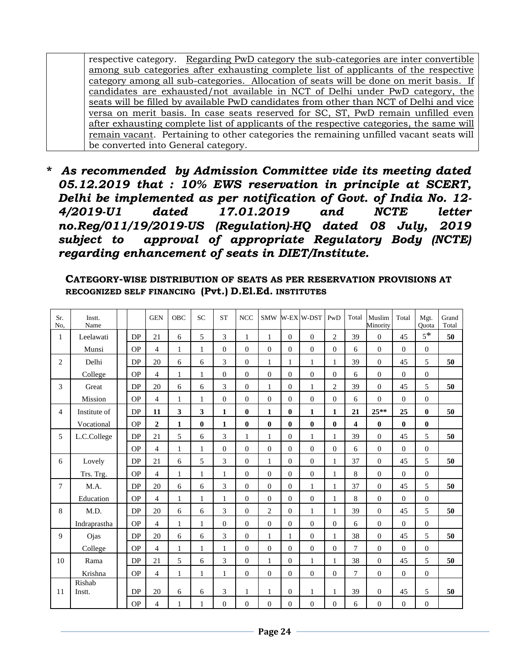respective category. Regarding PwD category the sub-categories are inter convertible among sub categories after exhausting complete list of applicants of the respective category among all sub-categories. Allocation of seats will be done on merit basis. If candidates are exhausted/not available in NCT of Delhi under PwD category, the seats will be filled by available PwD candidates from other than NCT of Delhi and vice versa on merit basis. In case seats reserved for SC, ST, PwD remain unfilled even after exhausting complete list of applicants of the respective categories, the same will remain vacant. Pertaining to other categories the remaining unfilled vacant seats will be converted into General category.

**\*** *As recommended by Admission Committee vide its meeting dated 05.12.2019 that : 10% EWS reservation in principle at SCERT, Delhi be implemented as per notification of Govt. of India No. 12- 4/2019-U1 dated 17.01.2019 and NCTE letter no.Reg/011/19/2019-US (Regulation)-HQ dated 08 July, 2019 subject to approval of appropriate Regulatory Body (NCTE) regarding enhancement of seats in DIET/Institute.*

#### **CATEGORY-WISE DISTRIBUTION OF SEATS AS PER RESERVATION PROVISIONS AT RECOGNIZED SELF FINANCING (Pvt.) D.El.Ed. INSTITUTES**

| Sr.<br>No.     | Instt.<br>Name |            | <b>GEN</b>     | <b>OBC</b>   | <b>SC</b>    | <b>ST</b>    | <b>NCC</b>   | <b>SMW</b>     |              | <b>W-EX W-DST</b> | PwD            | Total          | Muslim<br>Minority | Total          | Mgt.<br>Ouota  | Grand<br>Total |
|----------------|----------------|------------|----------------|--------------|--------------|--------------|--------------|----------------|--------------|-------------------|----------------|----------------|--------------------|----------------|----------------|----------------|
| 1              | Leelawati      | <b>DP</b>  | 21             | 6            | 5            | 3            | 1            | 1              | $\Omega$     | $\Omega$          | $\overline{2}$ | 39             | $\theta$           | 45             | $5*$           | 50             |
|                | Munsi          | <b>OP</b>  | $\overline{4}$ | 1            | 1            | $\mathbf{0}$ | $\Omega$     | $\Omega$       | $\Omega$     | $\Omega$          | $\Omega$       | 6              | $\theta$           | $\Omega$       | $\mathbf{0}$   |                |
| $\overline{c}$ | Delhi          | ${\rm DP}$ | 20             | 6            | 6            | 3            | $\Omega$     | 1              | 1            | 1                 | 1              | 39             | $\theta$           | 45             | 5              | 50             |
|                | College        | OP         | 4              | 1            | 1            | $\Omega$     | $\Omega$     | $\Omega$       | $\Omega$     | $\Omega$          | $\Omega$       | 6              | $\theta$           | $\Omega$       | $\theta$       |                |
| 3              | Great          | <b>DP</b>  | 20             | 6            | 6            | 3            | $\Omega$     | 1              | $\Omega$     | 1                 | $\overline{c}$ | 39             | $\overline{0}$     | 45             | 5              | 50             |
|                | Mission        | OP         | 4              | 1            | 1            | $\theta$     | $\Omega$     | $\Omega$       | $\Omega$     | $\theta$          | $\Omega$       | 6              | $\theta$           | $\overline{0}$ | $\theta$       |                |
| 4              | Institute of   | <b>DP</b>  | 11             | 3            | 3            | 1            | $\mathbf{0}$ | 1              | $\mathbf{0}$ | $\mathbf{1}$      | $\mathbf{1}$   | 21             | $25**$             | 25             | $\mathbf{0}$   | 50             |
|                | Vocational     | OP         | $\overline{2}$ | $\mathbf{1}$ | $\bf{0}$     | $\mathbf{1}$ | $\mathbf{0}$ | $\mathbf{0}$   | $\mathbf{0}$ | $\bf{0}$          | $\bf{0}$       | 4              | $\bf{0}$           | $\bf{0}$       | $\bf{0}$       |                |
| 5              | L.C.College    | DP         | 21             | 5            | 6            | 3            | $\mathbf{1}$ | $\mathbf{1}$   | $\Omega$     | $\mathbf{1}$      | $\mathbf{1}$   | 39             | $\Omega$           | 45             | 5              | 50             |
|                |                | OP         | $\overline{4}$ | 1            | 1            | $\Omega$     | $\Omega$     | $\Omega$       | $\Omega$     | $\Omega$          | $\Omega$       | 6              | $\Omega$           | $\Omega$       | $\theta$       |                |
| 6              | Lovely         | <b>DP</b>  | 21             | 6            | 5            | 3            | $\theta$     | $\mathbf{1}$   | $\Omega$     | $\theta$          | $\mathbf{1}$   | 37             | $\overline{0}$     | 45             | 5              | 50             |
|                | Trs. Trg.      | <b>OP</b>  | $\overline{4}$ | 1            | 1            | $\mathbf{1}$ | $\Omega$     | $\Omega$       | $\Omega$     | $\Omega$          | 1              | 8              | $\mathbf{0}$       | $\overline{0}$ | $\theta$       |                |
| 7              | M.A.           | DP         | 20             | 6            | 6            | 3            | $\Omega$     | $\theta$       | $\Omega$     | 1                 | 1              | 37             | $\theta$           | 45             | 5              | 50             |
|                | Education      | <b>OP</b>  | $\overline{4}$ | 1            | $\mathbf{1}$ | $\mathbf{1}$ | $\Omega$     | $\overline{0}$ | $\Omega$     | $\theta$          | 1              | 8              | $\mathbf{0}$       | $\overline{0}$ | $\overline{0}$ |                |
| 8              | M.D.           | DP         | 20             | 6            | 6            | 3            | $\Omega$     | $\overline{2}$ | $\Omega$     | 1                 | 1              | 39             | $\mathbf{0}$       | 45             | 5              | 50             |
|                | Indraprastha   | OP         | $\overline{4}$ | 1            | 1            | $\Omega$     | $\Omega$     | $\Omega$       | $\Omega$     | $\Omega$          | $\Omega$       | 6              | $\mathbf{0}$       | $\Omega$       | $\theta$       |                |
| $\mathbf{Q}$   | Ojas           | DP         | 20             | 6            | 6            | 3            | $\Omega$     | 1              | 1            | $\Omega$          | $\mathbf{1}$   | 38             | $\theta$           | 45             | 5              | 50             |
|                | College        | <b>OP</b>  | $\overline{4}$ | 1            | 1            | $\mathbf{1}$ | $\Omega$     | $\Omega$       | $\Omega$     | $\theta$          | $\Omega$       | $\overline{7}$ | $\theta$           | $\Omega$       | $\theta$       |                |
| 10             | Rama           | <b>DP</b>  | 21             | 5            | 6            | 3            | $\Omega$     | $\mathbf{1}$   | $\Omega$     | $\mathbf{1}$      | 1              | 38             | $\Omega$           | 45             | 5              | 50             |
|                | Krishna        | <b>OP</b>  | $\overline{4}$ | 1            | 1            | $\mathbf{1}$ | $\Omega$     | $\Omega$       | $\Omega$     | $\theta$          | $\theta$       | $\overline{7}$ | $\Omega$           | $\theta$       | $\mathbf{0}$   |                |
|                | Rishab         |            |                |              |              |              |              |                |              |                   |                |                |                    |                |                |                |
| 11             | Instt.         | ${\rm DP}$ | 20             | 6            | 6            | 3            | 1            | 1              | $\Omega$     | 1                 | 1              | 39             | $\theta$           | 45             | 5              | 50             |
|                |                | <b>OP</b>  | 4              | 1            |              | $\mathbf{0}$ | $\theta$     | $\overline{0}$ | 0            | $\overline{0}$    | $\overline{0}$ | 6              | $\mathbf{0}$       | $\overline{0}$ | $\theta$       |                |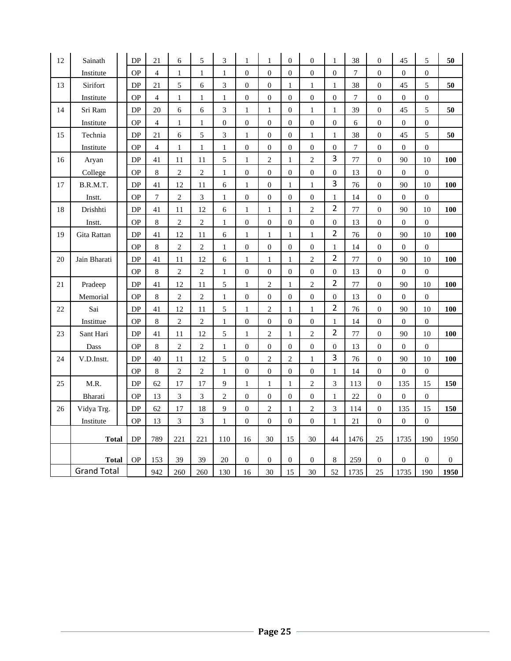| $12\,$ | Sainath            | DP        | 21             | 6              | $\sqrt{5}$     | 3                | 1                | 1                | $\overline{0}$   | $\theta$         | 1                | 38               | $\boldsymbol{0}$ | 45               | 5                | 50               |
|--------|--------------------|-----------|----------------|----------------|----------------|------------------|------------------|------------------|------------------|------------------|------------------|------------------|------------------|------------------|------------------|------------------|
|        | Institute          | <b>OP</b> | $\overline{4}$ | $\mathbf{1}$   | $\mathbf{1}$   | $\mathbf{1}$     | $\mathbf{0}$     | $\theta$         | $\overline{0}$   | $\overline{0}$   | $\overline{0}$   | $\overline{7}$   | $\boldsymbol{0}$ | $\boldsymbol{0}$ | $\boldsymbol{0}$ |                  |
| 13     | Sirifort           | <b>DP</b> | 21             | 5              | 6              | 3                | $\overline{0}$   | $\theta$         | 1                | $\mathbf{1}$     | 1                | 38               | $\boldsymbol{0}$ | 45               | 5                | 50               |
|        | Institute          | <b>OP</b> | 4              | $\mathbf{1}$   | 1              | 1                | $\boldsymbol{0}$ | $\boldsymbol{0}$ | $\boldsymbol{0}$ | $\boldsymbol{0}$ | $\boldsymbol{0}$ | $\tau$           | $\mathbf{0}$     | $\boldsymbol{0}$ | $\boldsymbol{0}$ |                  |
| 14     | Sri Ram            | DP        | 20             | 6              | 6              | 3                | $\mathbf{1}$     | $\mathbf{1}$     | $\mathbf{0}$     | $\mathbf{1}$     | $\mathbf{1}$     | 39               | $\boldsymbol{0}$ | 45               | 5                | 50               |
|        | Institute          | <b>OP</b> | $\overline{4}$ | $\mathbf{1}$   | $\,1$          | $\boldsymbol{0}$ | $\boldsymbol{0}$ | $\boldsymbol{0}$ | $\overline{0}$   | $\theta$         | $\boldsymbol{0}$ | 6                | $\boldsymbol{0}$ | $\boldsymbol{0}$ | $\boldsymbol{0}$ |                  |
| 15     | Technia            | <b>DP</b> | 21             | 6              | 5              | 3                | $\mathbf{1}$     | $\boldsymbol{0}$ | $\overline{0}$   | $\mathbf{1}$     | $\mathbf{1}$     | 38               | $\boldsymbol{0}$ | 45               | 5                | 50               |
|        | Institute          | <b>OP</b> | $\overline{4}$ | $\mathbf{1}$   | $\mathbf{1}$   | $\mathbf{1}$     | $\boldsymbol{0}$ | $\boldsymbol{0}$ | $\mathbf{0}$     | $\boldsymbol{0}$ | $\boldsymbol{0}$ | $\boldsymbol{7}$ | $\boldsymbol{0}$ | $\boldsymbol{0}$ | $\boldsymbol{0}$ |                  |
| 16     | Aryan              | DP        | 41             | 11             | 11             | 5                | 1                | $\overline{2}$   | 1                | $\overline{c}$   | 3                | 77               | $\boldsymbol{0}$ | 90               | 10               | 100              |
|        | College            | <b>OP</b> | 8              | $\sqrt{2}$     | $\overline{c}$ | $\mathbf{1}$     | $\boldsymbol{0}$ | $\boldsymbol{0}$ | $\mathbf{0}$     | $\boldsymbol{0}$ | $\boldsymbol{0}$ | 13               | $\boldsymbol{0}$ | $\boldsymbol{0}$ | $\boldsymbol{0}$ |                  |
| 17     | B.R.M.T.           | DP        | 41             | 12             | 11             | 6                | $\mathbf{1}$     | $\boldsymbol{0}$ | 1                | $\mathbf{1}$     | 3                | 76               | $\boldsymbol{0}$ | 90               | 10               | 100              |
|        | Instt.             | <b>OP</b> | $\overline{7}$ | $\mathbf{2}$   | 3              | $\mathbf{1}$     | $\boldsymbol{0}$ | $\boldsymbol{0}$ | $\overline{0}$   | $\boldsymbol{0}$ | $\mathbf{1}$     | 14               | $\boldsymbol{0}$ | $\boldsymbol{0}$ | $\boldsymbol{0}$ |                  |
| 18     | Drishhti           | <b>DP</b> | 41             | 11             | 12             | 6                | $\mathbf{1}$     | $\mathbf{1}$     | $\mathbf{1}$     | $\mathbf{2}$     | $\overline{2}$   | 77               | $\boldsymbol{0}$ | 90               | 10               | 100              |
|        | Instt.             | <b>OP</b> | 8              | $\overline{2}$ | $\overline{c}$ | $\mathbf{1}$     | $\boldsymbol{0}$ | $\boldsymbol{0}$ | $\boldsymbol{0}$ | $\boldsymbol{0}$ | $\boldsymbol{0}$ | 13               | $\boldsymbol{0}$ | $\boldsymbol{0}$ | $\boldsymbol{0}$ |                  |
| 19     | Gita Rattan        | DP        | 41             | 12             | 11             | 6                | 1                | 1                | 1                | $\mathbf{1}$     | $\overline{2}$   | 76               | $\boldsymbol{0}$ | 90               | 10               | <b>100</b>       |
|        |                    | <b>OP</b> | $\,$ 8 $\,$    | $\mathbf{2}$   | $\overline{c}$ | $\mathbf{1}$     | $\boldsymbol{0}$ | $\boldsymbol{0}$ | $\boldsymbol{0}$ | $\boldsymbol{0}$ | $\mathbf{1}$     | 14               | $\boldsymbol{0}$ | $\boldsymbol{0}$ | $\boldsymbol{0}$ |                  |
| 20     | Jain Bharati       | DP        | 41             | 11             | 12             | 6                | $\mathbf{1}$     | 1                | 1                | $\overline{c}$   | $\overline{2}$   | 77               | $\boldsymbol{0}$ | 90               | 10               | 100              |
|        |                    | <b>OP</b> | $\,8\,$        | $\overline{c}$ | $\sqrt{2}$     | 1                | $\boldsymbol{0}$ | $\boldsymbol{0}$ | $\mathbf{0}$     | $\boldsymbol{0}$ | $\boldsymbol{0}$ | 13               | $\boldsymbol{0}$ | $\boldsymbol{0}$ | $\boldsymbol{0}$ |                  |
| 21     | Pradeep            | <b>DP</b> | 41             | 12             | 11             | 5                | $\mathbf{1}$     | $\overline{c}$   | $\mathbf{1}$     | $\overline{c}$   | $\overline{2}$   | 77               | $\boldsymbol{0}$ | 90               | 10               | 100              |
|        | Memorial           | <b>OP</b> | $\,$ 8 $\,$    | $\overline{2}$ | $\overline{c}$ | $\mathbf{1}$     | $\boldsymbol{0}$ | $\boldsymbol{0}$ | $\boldsymbol{0}$ | $\boldsymbol{0}$ | $\boldsymbol{0}$ | 13               | $\boldsymbol{0}$ | $\boldsymbol{0}$ | $\boldsymbol{0}$ |                  |
| 22     | Sai                | DP        | 41             | 12             | 11             | 5                | $\mathbf{1}$     | $\overline{2}$   | 1                | $\mathbf{1}$     | $\overline{2}$   | 76               | $\boldsymbol{0}$ | 90               | 10               | <b>100</b>       |
|        | Instittue          | <b>OP</b> | 8              | $\mathbf{2}$   | $\mathbf{2}$   | $\mathbf{1}$     | $\boldsymbol{0}$ | $\theta$         | $\mathbf{0}$     | $\mathbf{0}$     | 1                | 14               | $\boldsymbol{0}$ | $\boldsymbol{0}$ | $\boldsymbol{0}$ |                  |
| 23     | Sant Hari          | <b>DP</b> | 41             | 11             | 12             | 5                | $\mathbf{1}$     | $\mathbf{2}$     | $\mathbf{1}$     | $\mathbf{2}$     | $\overline{2}$   | 77               | $\mathbf{0}$     | 90               | 10               | 100              |
|        | Dass               | <b>OP</b> | 8              | $\overline{c}$ | $\sqrt{2}$     | $\mathbf{1}$     | $\boldsymbol{0}$ | $\theta$         | $\overline{0}$   | $\mathbf{0}$     | $\boldsymbol{0}$ | 13               | $\boldsymbol{0}$ | $\boldsymbol{0}$ | $\boldsymbol{0}$ |                  |
| 24     | V.D.Instt.         | <b>DP</b> | 40             | 11             | 12             | 5                | $\boldsymbol{0}$ | $\overline{c}$   | $\overline{c}$   | $\mathbf{1}$     | 3                | 76               | $\boldsymbol{0}$ | 90               | 10               | 100              |
|        |                    | <b>OP</b> | 8              | $\overline{c}$ | $\sqrt{2}$     | 1                | $\boldsymbol{0}$ | $\mathbf{0}$     | $\overline{0}$   | $\boldsymbol{0}$ | 1                | 14               | $\boldsymbol{0}$ | $\boldsymbol{0}$ | $\boldsymbol{0}$ |                  |
| 25     | M.R.               | DP        | 62             | 17             | 17             | 9                | $\mathbf{1}$     | $\mathbf{1}$     | $\mathbf{1}$     | $\overline{c}$   | 3                | 113              | $\boldsymbol{0}$ | 135              | 15               | 150              |
|        | Bharati            | <b>OP</b> | 13             | 3              | 3              | $\mathbf{2}$     | $\boldsymbol{0}$ | $\boldsymbol{0}$ | $\mathbf{0}$     | $\boldsymbol{0}$ | $\mathbf{1}$     | 22               | $\boldsymbol{0}$ | $\boldsymbol{0}$ | $\boldsymbol{0}$ |                  |
| 26     | Vidya Trg.         | DP        | 62             | 17             | 18             | 9                | $\boldsymbol{0}$ | 2                | $\mathbf{1}$     | $\overline{c}$   | 3                | 114              | $\boldsymbol{0}$ | 135              | 15               | 150              |
|        | Institute          | <b>OP</b> | 13             | 3              | 3              | $\mathbf{1}$     | $\boldsymbol{0}$ | $\boldsymbol{0}$ | $\boldsymbol{0}$ | $\boldsymbol{0}$ | $\mathbf{1}$     | 21               | $\boldsymbol{0}$ | $\boldsymbol{0}$ | $\boldsymbol{0}$ |                  |
|        | <b>Total</b>       | DP        | 789            | 221            | 221            | 110              | 16               | 30               | 15               | 30               | 44               | 1476             | 25               | 1735             | 190              | 1950             |
|        | <b>Total</b>       | <b>OP</b> | 153            | 39             | 39             | 20               | $\boldsymbol{0}$ | $\boldsymbol{0}$ | $\boldsymbol{0}$ | $\boldsymbol{0}$ | $\,$ 8 $\,$      | 259              | $\boldsymbol{0}$ | $\boldsymbol{0}$ | $\boldsymbol{0}$ | $\boldsymbol{0}$ |
|        | <b>Grand Total</b> |           | 942            | 260            | 260            | 130              | 16               | 30               | 15               | 30               | 52               | 1735             | 25               | 1735             | 190              | 1950             |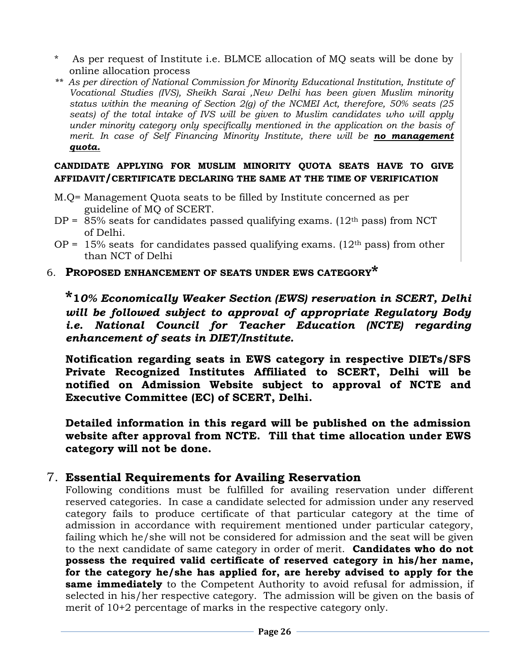- As per request of Institute i.e. BLMCE allocation of MQ seats will be done by online allocation process
- *\*\* As per direction of National Commission for Minority Educational Institution, Institute of Vocational Studies (IVS), Sheikh Sarai ,New Delhi has been given Muslim minority status within the meaning of Section 2(g) of the NCMEI Act, therefore, 50% seats (25*  seats) of the total intake of IVS will be given to Muslim candidates who will apply *under minority category only specifically mentioned in the application on the basis of merit. In case of Self Financing Minority Institute, there will be no management quota.*

#### **CANDIDATE APPLYING FOR MUSLIM MINORITY QUOTA SEATS HAVE TO GIVE AFFIDAVIT/CERTIFICATE DECLARING THE SAME AT THE TIME OF VERIFICATION**

- M.Q= Management Quota seats to be filled by Institute concerned as per guideline of MQ of SCERT.
- $DP = 85\%$  seats for candidates passed qualifying exams. (12<sup>th</sup> pass) from NCT of Delhi.
- OP =  $15\%$  seats for candidates passed qualifying exams. ( $12<sup>th</sup>$  pass) from other than NCT of Delhi
- 6. **PROPOSED ENHANCEMENT OF SEATS UNDER EWS CATEGORY\***

**\*1***0% Economically Weaker Section (EWS) reservation in SCERT, Delhi will be followed subject to approval of appropriate Regulatory Body i.e.* National Council for Teacher Education (NCTE) regarding *enhancement of seats in DIET/Institute.*

**Notification regarding seats in EWS category in respective DIETs/SFS Private Recognized Institutes Affiliated to SCERT, Delhi will be notified on Admission Website subject to approval of NCTE and Executive Committee (EC) of SCERT, Delhi.**

**Detailed information in this regard will be published on the admission website after approval from NCTE. Till that time allocation under EWS category will not be done.** 

# 7. **Essential Requirements for Availing Reservation**

Following conditions must be fulfilled for availing reservation under different reserved categories. In case a candidate selected for admission under any reserved category fails to produce certificate of that particular category at the time of admission in accordance with requirement mentioned under particular category, failing which he/she will not be considered for admission and the seat will be given to the next candidate of same category in order of merit. **Candidates who do not possess the required valid certificate of reserved category in his/her name, for the category he/she has applied for, are hereby advised to apply for the same immediately** to the Competent Authority to avoid refusal for admission, if selected in his/her respective category. The admission will be given on the basis of merit of 10+2 percentage of marks in the respective category only.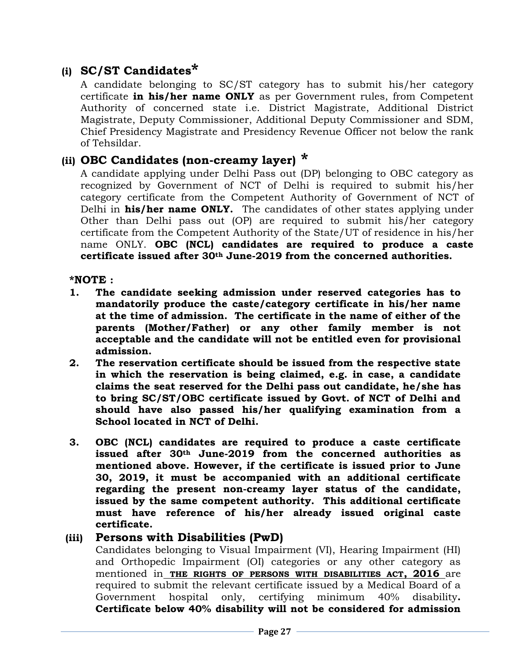# **(i) SC/ST Candidates\***

A candidate belonging to SC/ST category has to submit his/her category certificate **in his/her name ONLY** as per Government rules, from Competent Authority of concerned state i.e. District Magistrate, Additional District Magistrate, Deputy Commissioner, Additional Deputy Commissioner and SDM, Chief Presidency Magistrate and Presidency Revenue Officer not below the rank of Tehsildar.

# **(ii) OBC Candidates (non-creamy layer) \***

A candidate applying under Delhi Pass out (DP) belonging to OBC category as recognized by Government of NCT of Delhi is required to submit his/her category certificate from the Competent Authority of Government of NCT of Delhi in **his/her name ONLY.** The candidates of other states applying under Other than Delhi pass out (OP) are required to submit his/her category certificate from the Competent Authority of the State/UT of residence in his/her name ONLY. **OBC (NCL) candidates are required to produce a caste certificate issued after 30th June-2019 from the concerned authorities.**

#### **\*NOTE :**

- **1. The candidate seeking admission under reserved categories has to mandatorily produce the caste/category certificate in his/her name at the time of admission. The certificate in the name of either of the parents (Mother/Father) or any other family member is not acceptable and the candidate will not be entitled even for provisional admission.**
- **2. The reservation certificate should be issued from the respective state in which the reservation is being claimed, e.g. in case, a candidate claims the seat reserved for the Delhi pass out candidate, he/she has to bring SC/ST/OBC certificate issued by Govt. of NCT of Delhi and should have also passed his/her qualifying examination from a School located in NCT of Delhi.**
- **3. OBC (NCL) candidates are required to produce a caste certificate issued after 30th June-2019 from the concerned authorities as mentioned above. However, if the certificate is issued prior to June 30, 2019, it must be accompanied with an additional certificate regarding the present non-creamy layer status of the candidate, issued by the same competent authority. This additional certificate must have reference of his/her already issued original caste certificate.**

## **(iii) Persons with Disabilities (PwD)**

Candidates belonging to Visual Impairment (VI), Hearing Impairment (HI) and Orthopedic Impairment (OI) categories or any other category as mentioned in **THE RIGHTS OF PERSONS WITH DISABILITIES ACT, 2016** are required to submit the relevant certificate issued by a Medical Board of a Government hospital only, certifying minimum 40% disability**. Certificate below 40% disability will not be considered for admission**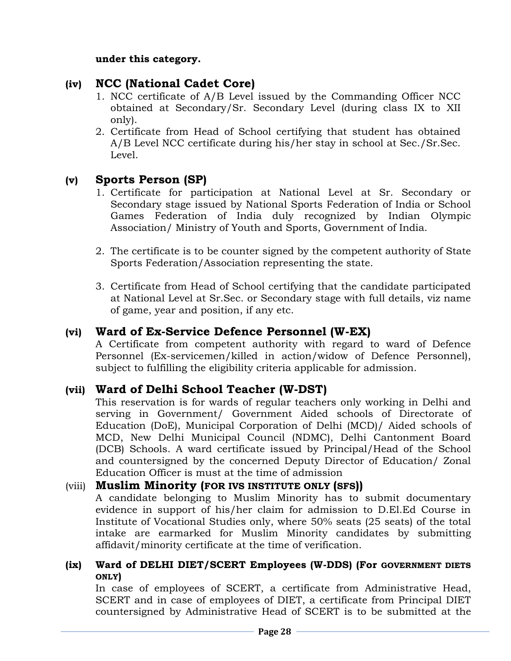#### **under this category.**

# **(iv) NCC (National Cadet Core)**

- 1. NCC certificate of A/B Level issued by the Commanding Officer NCC obtained at Secondary/Sr. Secondary Level (during class IX to XII only).
- 2. Certificate from Head of School certifying that student has obtained A/B Level NCC certificate during his/her stay in school at Sec./Sr.Sec. Level.

# **(v) Sports Person (SP)**

- 1. Certificate for participation at National Level at Sr. Secondary or Secondary stage issued by National Sports Federation of India or School Games Federation of India duly recognized by Indian Olympic Association/ Ministry of Youth and Sports, Government of India.
- 2. The certificate is to be counter signed by the competent authority of State Sports Federation/Association representing the state.
- 3. Certificate from Head of School certifying that the candidate participated at National Level at Sr.Sec. or Secondary stage with full details, viz name of game, year and position, if any etc.

# **(vi) Ward of Ex-Service Defence Personnel (W-EX)**

A Certificate from competent authority with regard to ward of Defence Personnel (Ex-servicemen/killed in action/widow of Defence Personnel), subject to fulfilling the eligibility criteria applicable for admission.

# **(vii) Ward of Delhi School Teacher (W-DST)**

This reservation is for wards of regular teachers only working in Delhi and serving in Government/ Government Aided schools of Directorate of Education (DoE), Municipal Corporation of Delhi (MCD)/ Aided schools of MCD, New Delhi Municipal Council (NDMC), Delhi Cantonment Board (DCB) Schools. A ward certificate issued by Principal/Head of the School and countersigned by the concerned Deputy Director of Education/ Zonal Education Officer is must at the time of admission

## (viii) **Muslim Minority (FOR IVS INSTITUTE ONLY (SFS))**

A candidate belonging to Muslim Minority has to submit documentary evidence in support of his/her claim for admission to D.El.Ed Course in Institute of Vocational Studies only, where 50% seats (25 seats) of the total intake are earmarked for Muslim Minority candidates by submitting affidavit/minority certificate at the time of verification.

## **(ix) Ward of DELHI DIET/SCERT Employees (W-DDS) (For GOVERNMENT DIETS ONLY)**

In case of employees of SCERT, a certificate from Administrative Head, SCERT and in case of employees of DIET, a certificate from Principal DIET countersigned by Administrative Head of SCERT is to be submitted at the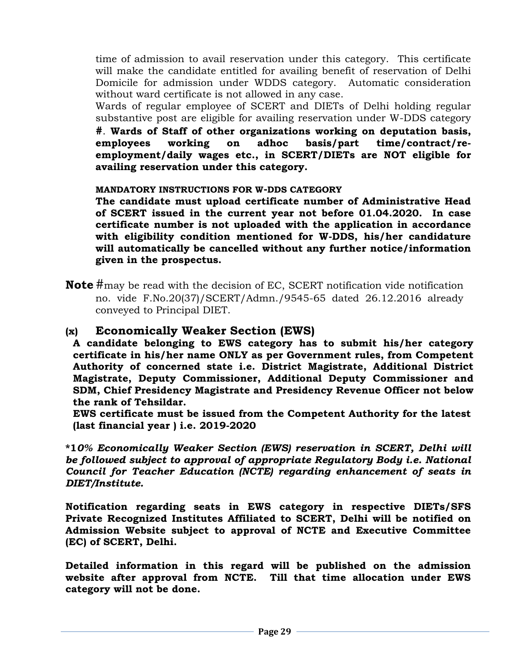time of admission to avail reservation under this category. This certificate will make the candidate entitled for availing benefit of reservation of Delhi Domicile for admission under WDDS category. Automatic consideration without ward certificate is not allowed in any case.

Wards of regular employee of SCERT and DIETs of Delhi holding regular substantive post are eligible for availing reservation under W-DDS category **#**. **Wards of Staff of other organizations working on deputation basis, employees working on adhoc basis/part time/contract/reemployment/daily wages etc., in SCERT/DIETs are NOT eligible for availing reservation under this category.** 

**MANDATORY INSTRUCTIONS FOR W-DDS CATEGORY** 

**The candidate must upload certificate number of Administrative Head of SCERT issued in the current year not before 01.04.2020. In case certificate number is not uploaded with the application in accordance with eligibility condition mentioned for W-DDS, his/her candidature will automatically be cancelled without any further notice/information given in the prospectus.** 

**Note** #may be read with the decision of EC, SCERT notification vide notification no. vide F.No.20(37)/SCERT/Admn./9545-65 dated 26.12.2016 already conveyed to Principal DIET.

# **(x) Economically Weaker Section (EWS)**

**A candidate belonging to EWS category has to submit his/her category certificate in his/her name ONLY as per Government rules, from Competent Authority of concerned state i.e. District Magistrate, Additional District Magistrate, Deputy Commissioner, Additional Deputy Commissioner and SDM, Chief Presidency Magistrate and Presidency Revenue Officer not below the rank of Tehsildar.** 

**EWS certificate must be issued from the Competent Authority for the latest (last financial year ) i.e. 2019-2020**

**\*1***0% Economically Weaker Section (EWS) reservation in SCERT, Delhi will be followed subject to approval of appropriate Regulatory Body i.e. National Council for Teacher Education (NCTE) regarding enhancement of seats in DIET/Institute.*

**Notification regarding seats in EWS category in respective DIETs/SFS Private Recognized Institutes Affiliated to SCERT, Delhi will be notified on Admission Website subject to approval of NCTE and Executive Committee (EC) of SCERT, Delhi.**

**Detailed information in this regard will be published on the admission website after approval from NCTE. Till that time allocation under EWS category will not be done.**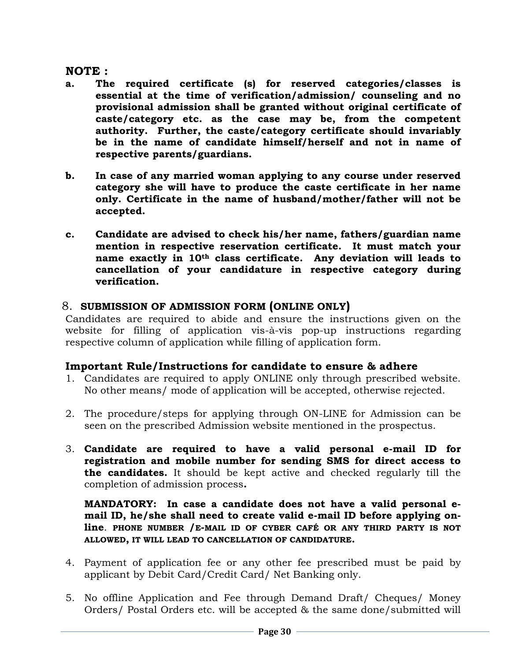## **NOTE :**

- **a. The required certificate (s) for reserved categories/classes is essential at the time of verification/admission/ counseling and no provisional admission shall be granted without original certificate of caste/category etc. as the case may be, from the competent authority. Further, the caste/category certificate should invariably be in the name of candidate himself/herself and not in name of respective parents/guardians.**
- **b. In case of any married woman applying to any course under reserved category she will have to produce the caste certificate in her name only. Certificate in the name of husband/mother/father will not be accepted.**
- **c. Candidate are advised to check his/her name, fathers/guardian name mention in respective reservation certificate. It must match your name exactly in 10th class certificate. Any deviation will leads to cancellation of your candidature in respective category during verification.**

# 8. **SUBMISSION OF ADMISSION FORM (ONLINE ONLY)**

Candidates are required to abide and ensure the instructions given on the website for filling of application vis-à-vis pop-up instructions regarding respective column of application while filling of application form.

## **Important Rule/Instructions for candidate to ensure & adhere**

- 1. Candidates are required to apply ONLINE only through prescribed website. No other means/ mode of application will be accepted, otherwise rejected.
- 2. The procedure/steps for applying through ON-LINE for Admission can be seen on the prescribed Admission website mentioned in the prospectus.
- 3. **Candidate are required to have a valid personal e-mail ID for registration and mobile number for sending SMS for direct access to the candidates.** It should be kept active and checked regularly till the completion of admission process**.**

**MANDATORY: In case a candidate does not have a valid personal email ID, he/she shall need to create valid e-mail ID before applying online**. **PHONE NUMBER /E-MAIL ID OF CYBER CAFÉ OR ANY THIRD PARTY IS NOT ALLOWED, IT WILL LEAD TO CANCELLATION OF CANDIDATURE.**

- 4. Payment of application fee or any other fee prescribed must be paid by applicant by Debit Card/Credit Card/ Net Banking only.
- 5. No offline Application and Fee through Demand Draft/ Cheques/ Money Orders/ Postal Orders etc. will be accepted & the same done/submitted will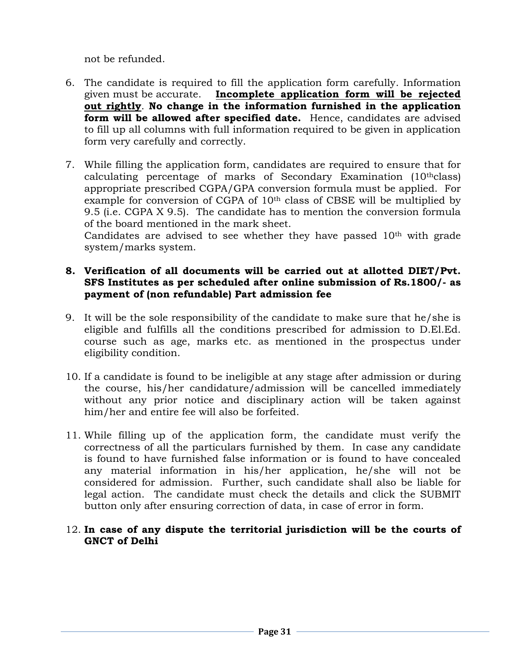not be refunded.

- 6. The candidate is required to fill the application form carefully. Information given must be accurate. **Incomplete application form will be rejected out rightly**. **No change in the information furnished in the application form will be allowed after specified date.** Hence, candidates are advised to fill up all columns with full information required to be given in application form very carefully and correctly.
- 7. While filling the application form, candidates are required to ensure that for calculating percentage of marks of Secondary Examination (10thclass) appropriate prescribed CGPA/GPA conversion formula must be applied. For example for conversion of CGPA of 10<sup>th</sup> class of CBSE will be multiplied by 9.5 (i.e. CGPA X 9.5). The candidate has to mention the conversion formula of the board mentioned in the mark sheet.

Candidates are advised to see whether they have passed  $10<sup>th</sup>$  with grade system/marks system.

#### **8. Verification of all documents will be carried out at allotted DIET/Pvt. SFS Institutes as per scheduled after online submission of Rs.1800/- as payment of (non refundable) Part admission fee**

- 9. It will be the sole responsibility of the candidate to make sure that he/she is eligible and fulfills all the conditions prescribed for admission to D.El.Ed. course such as age, marks etc. as mentioned in the prospectus under eligibility condition.
- 10. If a candidate is found to be ineligible at any stage after admission or during the course, his/her candidature/admission will be cancelled immediately without any prior notice and disciplinary action will be taken against him/her and entire fee will also be forfeited.
- 11. While filling up of the application form, the candidate must verify the correctness of all the particulars furnished by them. In case any candidate is found to have furnished false information or is found to have concealed any material information in his/her application, he/she will not be considered for admission. Further, such candidate shall also be liable for legal action. The candidate must check the details and click the SUBMIT button only after ensuring correction of data, in case of error in form.

#### 12. **In case of any dispute the territorial jurisdiction will be the courts of GNCT of Delhi**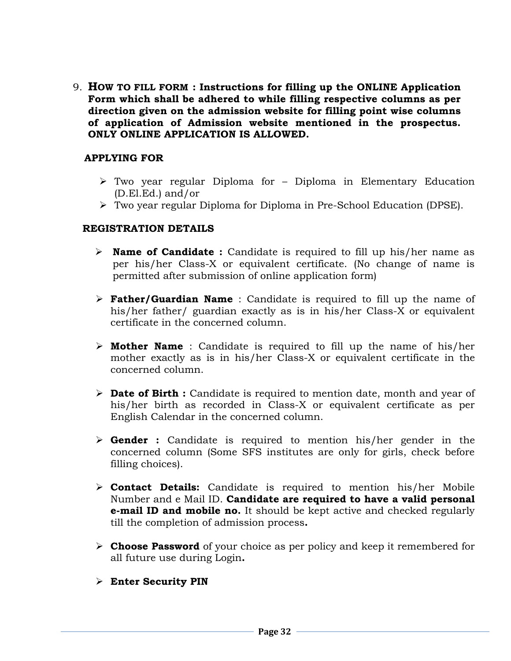9. **HOW TO FILL FORM : Instructions for filling up the ONLINE Application Form which shall be adhered to while filling respective columns as per direction given on the admission website for filling point wise columns of application of Admission website mentioned in the prospectus. ONLY ONLINE APPLICATION IS ALLOWED.**

#### **APPLYING FOR**

- ➢ Two year regular Diploma for Diploma in Elementary Education (D.El.Ed.) and/or
- ➢ Two year regular Diploma for Diploma in Pre-School Education (DPSE).

#### **REGISTRATION DETAILS**

- ➢ **Name of Candidate :** Candidate is required to fill up his/her name as per his/her Class-X or equivalent certificate. (No change of name is permitted after submission of online application form)
- ➢ **Father/Guardian Name** : Candidate is required to fill up the name of his/her father/ guardian exactly as is in his/her Class-X or equivalent certificate in the concerned column.
- ➢ **Mother Name** : Candidate is required to fill up the name of his/her mother exactly as is in his/her Class-X or equivalent certificate in the concerned column.
- ➢ **Date of Birth :** Candidate is required to mention date, month and year of his/her birth as recorded in Class-X or equivalent certificate as per English Calendar in the concerned column.
- ➢ **Gender :** Candidate is required to mention his/her gender in the concerned column (Some SFS institutes are only for girls, check before filling choices).
- ➢ **Contact Details:** Candidate is required to mention his/her Mobile Number and e Mail ID. **Candidate are required to have a valid personal e-mail ID and mobile no.** It should be kept active and checked regularly till the completion of admission process**.**
- ➢ **Choose Password** of your choice as per policy and keep it remembered for all future use during Login**.**
- ➢ **Enter Security PIN**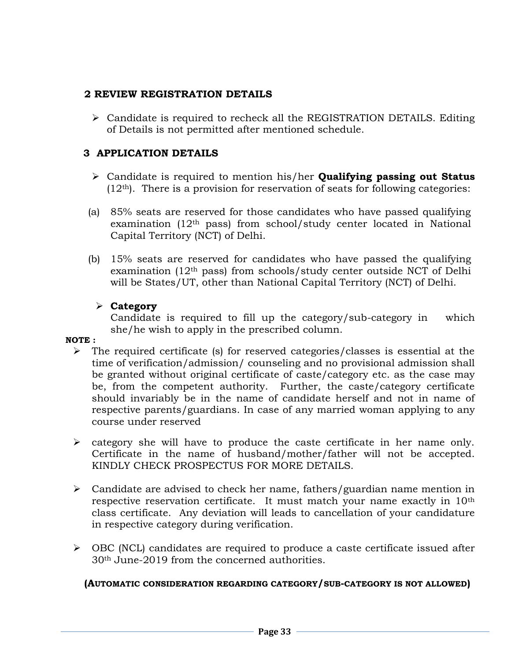## **2 REVIEW REGISTRATION DETAILS**

➢ Candidate is required to recheck all the REGISTRATION DETAILS. Editing of Details is not permitted after mentioned schedule.

## **3 APPLICATION DETAILS**

- ➢ Candidate is required to mention his/her **Qualifying passing out Status**   $(12<sup>th</sup>)$ . There is a provision for reservation of seats for following categories:
- (a) 85% seats are reserved for those candidates who have passed qualifying examination  $(12<sup>th</sup>$  pass) from school/study center located in National Capital Territory (NCT) of Delhi.
- (b) 15% seats are reserved for candidates who have passed the qualifying examination (12th pass) from schools/study center outside NCT of Delhi will be States/UT, other than National Capital Territory (NCT) of Delhi.

# ➢ **Category**

Candidate is required to fill up the category/sub-category in which she/he wish to apply in the prescribed column.

## **NOTE :**

- ➢ The required certificate (s) for reserved categories/classes is essential at the time of verification/admission/ counseling and no provisional admission shall be granted without original certificate of caste/category etc. as the case may be, from the competent authority. Further, the caste/category certificate should invariably be in the name of candidate herself and not in name of respective parents/guardians. In case of any married woman applying to any course under reserved
- ➢ category she will have to produce the caste certificate in her name only. Certificate in the name of husband/mother/father will not be accepted. KINDLY CHECK PROSPECTUS FOR MORE DETAILS.
- ➢ Candidate are advised to check her name, fathers/guardian name mention in respective reservation certificate. It must match your name exactly in 10th class certificate. Any deviation will leads to cancellation of your candidature in respective category during verification.
- $\triangleright$  OBC (NCL) candidates are required to produce a caste certificate issued after 30th June-2019 from the concerned authorities.

#### **(AUTOMATIC CONSIDERATION REGARDING CATEGORY/SUB-CATEGORY IS NOT ALLOWED)**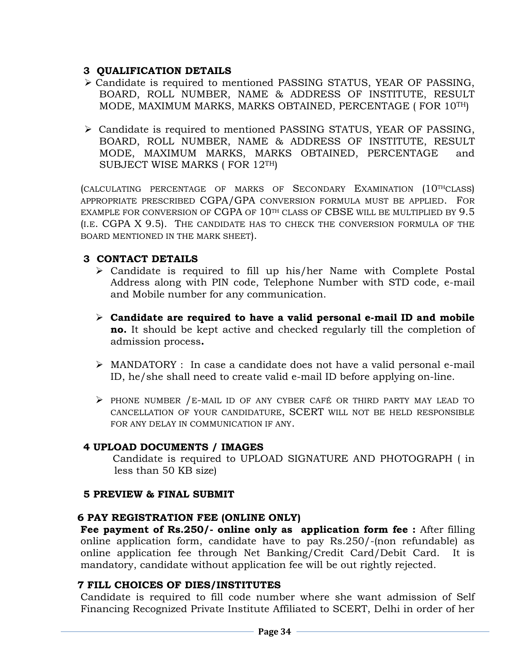## **3 QUALIFICATION DETAILS**

- ➢ Candidate is required to mentioned PASSING STATUS, YEAR OF PASSING, BOARD, ROLL NUMBER, NAME & ADDRESS OF INSTITUTE, RESULT MODE, MAXIMUM MARKS, MARKS OBTAINED, PERCENTAGE ( FOR 10TH)
- ➢ Candidate is required to mentioned PASSING STATUS, YEAR OF PASSING, BOARD, ROLL NUMBER, NAME & ADDRESS OF INSTITUTE, RESULT MODE, MAXIMUM MARKS, MARKS OBTAINED, PERCENTAGE and SUBJECT WISE MARKS ( FOR 12TH)

(CALCULATING PERCENTAGE OF MARKS OF SECONDARY EXAMINATION (10THCLASS) APPROPRIATE PRESCRIBED CGPA/GPA CONVERSION FORMULA MUST BE APPLIED. FOR EXAMPLE FOR CONVERSION OF CGPA OF 10<sup>TH</sup> CLASS OF CBSE WILL BE MULTIPLIED BY 9.5 (I.E. CGPA X 9.5). THE CANDIDATE HAS TO CHECK THE CONVERSION FORMULA OF THE BOARD MENTIONED IN THE MARK SHEET).

# **3 CONTACT DETAILS**

- ➢ Candidate is required to fill up his/her Name with Complete Postal Address along with PIN code, Telephone Number with STD code, e-mail and Mobile number for any communication.
- ➢ **Candidate are required to have a valid personal e-mail ID and mobile no.** It should be kept active and checked regularly till the completion of admission process**.**
- ➢ MANDATORY : In case a candidate does not have a valid personal e-mail ID, he/she shall need to create valid e-mail ID before applying on-line.
- ➢ PHONE NUMBER /E-MAIL ID OF ANY CYBER CAFÉ OR THIRD PARTY MAY LEAD TO CANCELLATION OF YOUR CANDIDATURE, SCERT WILL NOT BE HELD RESPONSIBLE FOR ANY DELAY IN COMMUNICATION IF ANY.

## **4 UPLOAD DOCUMENTS / IMAGES**

Candidate is required to UPLOAD SIGNATURE AND PHOTOGRAPH ( in less than 50 KB size)

## **5 PREVIEW & FINAL SUBMIT**

## **6 PAY REGISTRATION FEE (ONLINE ONLY)**

**Fee payment of Rs.250/- online only as application form fee :** After filling online application form, candidate have to pay Rs.250/-(non refundable) as online application fee through Net Banking/Credit Card/Debit Card. It is mandatory, candidate without application fee will be out rightly rejected.

## **7 FILL CHOICES OF DIES/INSTITUTES**

Candidate is required to fill code number where she want admission of Self Financing Recognized Private Institute Affiliated to SCERT, Delhi in order of her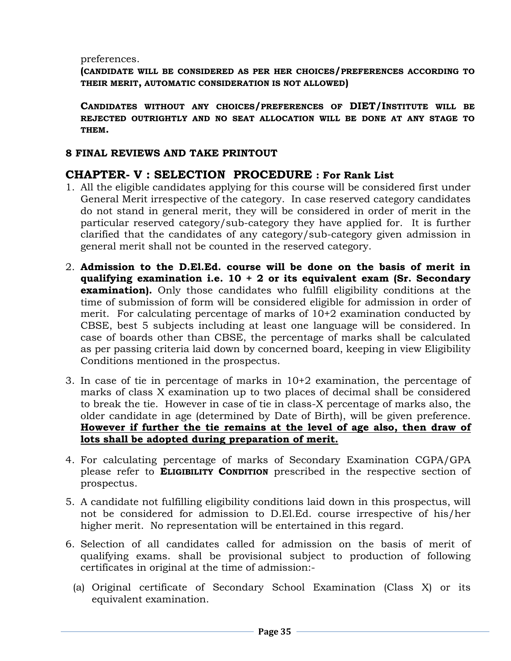preferences.

**(CANDIDATE WILL BE CONSIDERED AS PER HER CHOICES/PREFERENCES ACCORDING TO THEIR MERIT, AUTOMATIC CONSIDERATION IS NOT ALLOWED)**

**CANDIDATES WITHOUT ANY CHOICES/PREFERENCES OF DIET/INSTITUTE WILL BE REJECTED OUTRIGHTLY AND NO SEAT ALLOCATION WILL BE DONE AT ANY STAGE TO THEM.**

#### **8 FINAL REVIEWS AND TAKE PRINTOUT**

# **CHAPTER- V : SELECTION PROCEDURE : For Rank List**

- 1. All the eligible candidates applying for this course will be considered first under General Merit irrespective of the category. In case reserved category candidates do not stand in general merit, they will be considered in order of merit in the particular reserved category/sub-category they have applied for. It is further clarified that the candidates of any category/sub-category given admission in general merit shall not be counted in the reserved category.
- 2. **Admission to the D.El.Ed. course will be done on the basis of merit in qualifying examination i.e. 10 + 2 or its equivalent exam (Sr. Secondary examination).** Only those candidates who fulfill eligibility conditions at the time of submission of form will be considered eligible for admission in order of merit. For calculating percentage of marks of 10+2 examination conducted by CBSE, best 5 subjects including at least one language will be considered. In case of boards other than CBSE, the percentage of marks shall be calculated as per passing criteria laid down by concerned board, keeping in view Eligibility Conditions mentioned in the prospectus.
- 3. In case of tie in percentage of marks in 10+2 examination, the percentage of marks of class X examination up to two places of decimal shall be considered to break the tie. However in case of tie in class-X percentage of marks also, the older candidate in age (determined by Date of Birth), will be given preference. **However if further the tie remains at the level of age also, then draw of lots shall be adopted during preparation of merit.**
- 4. For calculating percentage of marks of Secondary Examination CGPA/GPA please refer to **ELIGIBILITY CONDITION** prescribed in the respective section of prospectus.
- 5. A candidate not fulfilling eligibility conditions laid down in this prospectus, will not be considered for admission to D.El.Ed. course irrespective of his/her higher merit. No representation will be entertained in this regard.
- 6. Selection of all candidates called for admission on the basis of merit of qualifying exams. shall be provisional subject to production of following certificates in original at the time of admission:-
	- (a) Original certificate of Secondary School Examination (Class X) or its equivalent examination.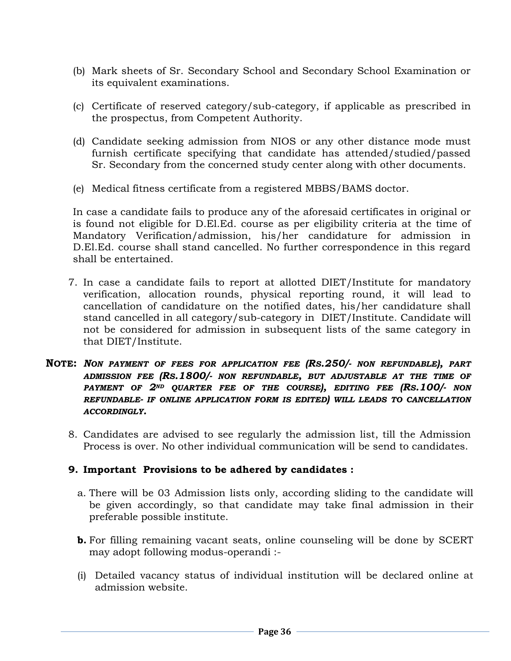- (b) Mark sheets of Sr. Secondary School and Secondary School Examination or its equivalent examinations.
- (c) Certificate of reserved category/sub-category, if applicable as prescribed in the prospectus, from Competent Authority.
- (d) Candidate seeking admission from NIOS or any other distance mode must furnish certificate specifying that candidate has attended/studied/passed Sr. Secondary from the concerned study center along with other documents.
- (e) Medical fitness certificate from a registered MBBS/BAMS doctor.

In case a candidate fails to produce any of the aforesaid certificates in original or is found not eligible for D.El.Ed. course as per eligibility criteria at the time of Mandatory Verification/admission, his/her candidature for admission in D.El.Ed. course shall stand cancelled. No further correspondence in this regard shall be entertained.

- 7. In case a candidate fails to report at allotted DIET/Institute for mandatory verification, allocation rounds, physical reporting round, it will lead to cancellation of candidature on the notified dates, his/her candidature shall stand cancelled in all category/sub-category in DIET/Institute. Candidate will not be considered for admission in subsequent lists of the same category in that DIET/Institute.
- **NOTE:** *NON PAYMENT OF FEES FOR APPLICATION FEE (RS.250/- NON REFUNDABLE), PART ADMISSION FEE (RS.1800/- NON REFUNDABLE, BUT ADJUSTABLE AT THE TIME OF PAYMENT OF 2ND QUARTER FEE OF THE COURSE), EDITING FEE (RS.100/- NON REFUNDABLE- IF ONLINE APPLICATION FORM IS EDITED) WILL LEADS TO CANCELLATION ACCORDINGLY.*
	- 8. Candidates are advised to see regularly the admission list, till the Admission Process is over. No other individual communication will be send to candidates.

#### **9. Important Provisions to be adhered by candidates :**

- a. There will be 03 Admission lists only, according sliding to the candidate will be given accordingly, so that candidate may take final admission in their preferable possible institute.
- **b.** For filling remaining vacant seats, online counseling will be done by SCERT may adopt following modus-operandi :-
- (i) Detailed vacancy status of individual institution will be declared online at admission website.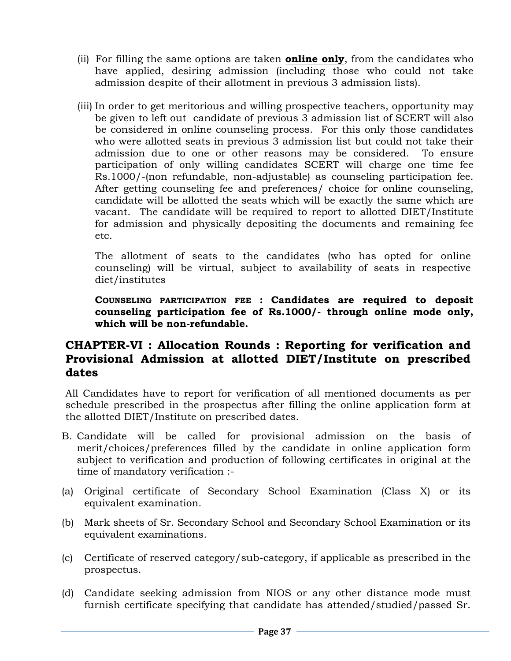- (ii) For filling the same options are taken **online only**, from the candidates who have applied, desiring admission (including those who could not take admission despite of their allotment in previous 3 admission lists).
- (iii) In order to get meritorious and willing prospective teachers, opportunity may be given to left out candidate of previous 3 admission list of SCERT will also be considered in online counseling process. For this only those candidates who were allotted seats in previous 3 admission list but could not take their admission due to one or other reasons may be considered. To ensure participation of only willing candidates SCERT will charge one time fee Rs.1000/-(non refundable, non-adjustable) as counseling participation fee. After getting counseling fee and preferences/ choice for online counseling, candidate will be allotted the seats which will be exactly the same which are vacant. The candidate will be required to report to allotted DIET/Institute for admission and physically depositing the documents and remaining fee etc.

The allotment of seats to the candidates (who has opted for online counseling) will be virtual, subject to availability of seats in respective diet/institutes

**COUNSELING PARTICIPATION FEE : Candidates are required to deposit counseling participation fee of Rs.1000/- through online mode only, which will be non-refundable.**

# **CHAPTER-VI : Allocation Rounds : Reporting for verification and Provisional Admission at allotted DIET/Institute on prescribed dates**

All Candidates have to report for verification of all mentioned documents as per schedule prescribed in the prospectus after filling the online application form at the allotted DIET/Institute on prescribed dates.

- B. Candidate will be called for provisional admission on the basis of merit/choices/preferences filled by the candidate in online application form subject to verification and production of following certificates in original at the time of mandatory verification :-
- (a) Original certificate of Secondary School Examination (Class X) or its equivalent examination.
- (b) Mark sheets of Sr. Secondary School and Secondary School Examination or its equivalent examinations.
- (c) Certificate of reserved category/sub-category, if applicable as prescribed in the prospectus.
- (d) Candidate seeking admission from NIOS or any other distance mode must furnish certificate specifying that candidate has attended/studied/passed Sr.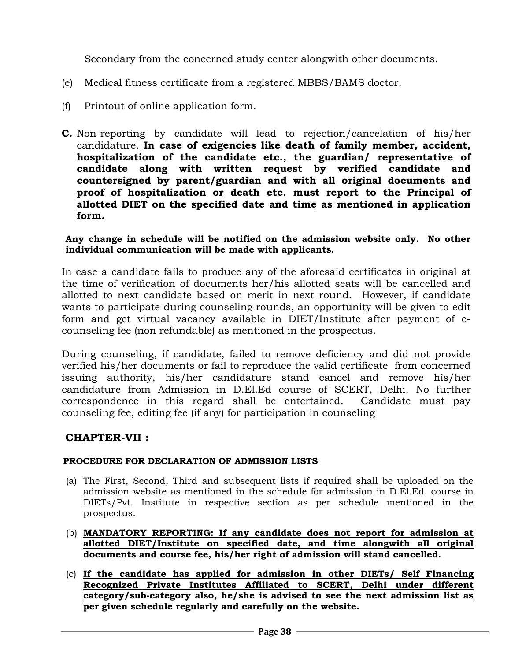Secondary from the concerned study center alongwith other documents.

- (e) Medical fitness certificate from a registered MBBS/BAMS doctor.
- (f) Printout of online application form.
- **C.** Non-reporting by candidate will lead to rejection/cancelation of his/her candidature. **In case of exigencies like death of family member, accident, hospitalization of the candidate etc., the guardian/ representative of candidate along with written request by verified candidate and countersigned by parent/guardian and with all original documents and proof of hospitalization or death etc. must report to the Principal of allotted DIET on the specified date and time as mentioned in application form.**

#### **Any change in schedule will be notified on the admission website only. No other individual communication will be made with applicants.**

In case a candidate fails to produce any of the aforesaid certificates in original at the time of verification of documents her/his allotted seats will be cancelled and allotted to next candidate based on merit in next round. However, if candidate wants to participate during counseling rounds, an opportunity will be given to edit form and get virtual vacancy available in DIET/Institute after payment of ecounseling fee (non refundable) as mentioned in the prospectus.

During counseling, if candidate, failed to remove deficiency and did not provide verified his/her documents or fail to reproduce the valid certificate from concerned issuing authority, his/her candidature stand cancel and remove his/her candidature from Admission in D.El.Ed course of SCERT, Delhi. No further correspondence in this regard shall be entertained. Candidate must pay counseling fee, editing fee (if any) for participation in counseling

## **CHAPTER-VII :**

#### **PROCEDURE FOR DECLARATION OF ADMISSION LISTS**

- (a) The First, Second, Third and subsequent lists if required shall be uploaded on the admission website as mentioned in the schedule for admission in D.El.Ed. course in DIETs/Pvt. Institute in respective section as per schedule mentioned in the prospectus.
- (b) **MANDATORY REPORTING: If any candidate does not report for admission at allotted DIET/Institute on specified date, and time alongwith all original documents and course fee, his/her right of admission will stand cancelled.**
- (c) **If the candidate has applied for admission in other DIETs/ Self Financing Recognized Private Institutes Affiliated to SCERT, Delhi under different category/sub-category also, he/she is advised to see the next admission list as per given schedule regularly and carefully on the website.**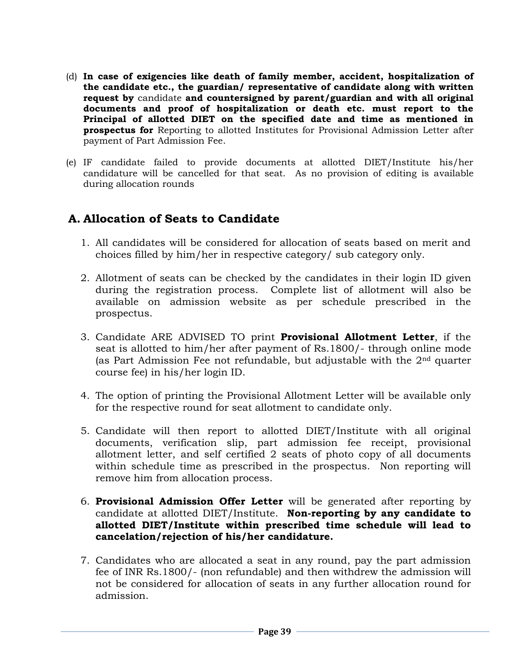- (d) **In case of exigencies like death of family member, accident, hospitalization of the candidate etc., the guardian/ representative of candidate along with written request by** candidate **and countersigned by parent/guardian and with all original documents and proof of hospitalization or death etc. must report to the Principal of allotted DIET on the specified date and time as mentioned in prospectus for** Reporting to allotted Institutes for Provisional Admission Letter after payment of Part Admission Fee.
- (e) IF candidate failed to provide documents at allotted DIET/Institute his/her candidature will be cancelled for that seat. As no provision of editing is available during allocation rounds

# **A. Allocation of Seats to Candidate**

- 1. All candidates will be considered for allocation of seats based on merit and choices filled by him/her in respective category/ sub category only.
- 2. Allotment of seats can be checked by the candidates in their login ID given during the registration process. Complete list of allotment will also be available on admission website as per schedule prescribed in the prospectus.
- 3. Candidate ARE ADVISED TO print **Provisional Allotment Letter**, if the seat is allotted to him/her after payment of Rs.1800/- through online mode (as Part Admission Fee not refundable, but adjustable with the 2nd quarter course fee) in his/her login ID.
- 4. The option of printing the Provisional Allotment Letter will be available only for the respective round for seat allotment to candidate only.
- 5. Candidate will then report to allotted DIET/Institute with all original documents, verification slip, part admission fee receipt, provisional allotment letter, and self certified 2 seats of photo copy of all documents within schedule time as prescribed in the prospectus. Non reporting will remove him from allocation process.
- 6. **Provisional Admission Offer Letter** will be generated after reporting by candidate at allotted DIET/Institute. **Non-reporting by any candidate to allotted DIET/Institute within prescribed time schedule will lead to cancelation/rejection of his/her candidature.**
- 7. Candidates who are allocated a seat in any round, pay the part admission fee of INR Rs.1800/- (non refundable) and then withdrew the admission will not be considered for allocation of seats in any further allocation round for admission.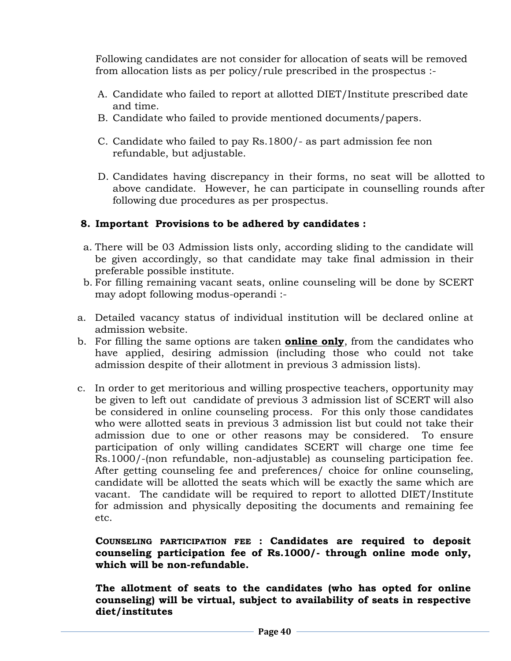Following candidates are not consider for allocation of seats will be removed from allocation lists as per policy/rule prescribed in the prospectus :-

- A. Candidate who failed to report at allotted DIET/Institute prescribed date and time.
- B. Candidate who failed to provide mentioned documents/papers.
- C. Candidate who failed to pay Rs.1800/- as part admission fee non refundable, but adjustable.
- D. Candidates having discrepancy in their forms, no seat will be allotted to above candidate. However, he can participate in counselling rounds after following due procedures as per prospectus.

# **8. Important Provisions to be adhered by candidates :**

- a. There will be 03 Admission lists only, according sliding to the candidate will be given accordingly, so that candidate may take final admission in their preferable possible institute.
- b. For filling remaining vacant seats, online counseling will be done by SCERT may adopt following modus-operandi :-
- a. Detailed vacancy status of individual institution will be declared online at admission website.
- b. For filling the same options are taken **online only**, from the candidates who have applied, desiring admission (including those who could not take admission despite of their allotment in previous 3 admission lists).
- c. In order to get meritorious and willing prospective teachers, opportunity may be given to left out candidate of previous 3 admission list of SCERT will also be considered in online counseling process. For this only those candidates who were allotted seats in previous 3 admission list but could not take their admission due to one or other reasons may be considered. To ensure participation of only willing candidates SCERT will charge one time fee Rs.1000/-(non refundable, non-adjustable) as counseling participation fee. After getting counseling fee and preferences/ choice for online counseling, candidate will be allotted the seats which will be exactly the same which are vacant. The candidate will be required to report to allotted DIET/Institute for admission and physically depositing the documents and remaining fee etc.

**COUNSELING PARTICIPATION FEE : Candidates are required to deposit counseling participation fee of Rs.1000/- through online mode only, which will be non-refundable.**

**The allotment of seats to the candidates (who has opted for online counseling) will be virtual, subject to availability of seats in respective diet/institutes**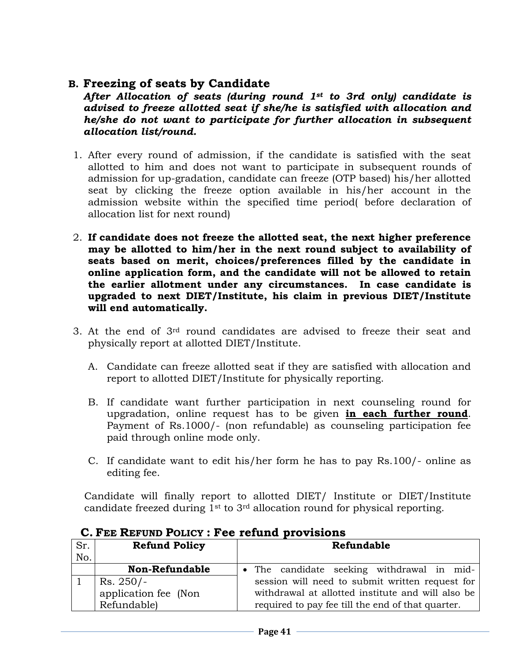# **B. Freezing of seats by Candidate**

*After Allocation of seats (during round 1st to 3rd only) candidate is advised to freeze allotted seat if she/he is satisfied with allocation and he/she do not want to participate for further allocation in subsequent allocation list/round.*

- 1. After every round of admission, if the candidate is satisfied with the seat allotted to him and does not want to participate in subsequent rounds of admission for up-gradation, candidate can freeze (OTP based) his/her allotted seat by clicking the freeze option available in his/her account in the admission website within the specified time period( before declaration of allocation list for next round)
- 2. **If candidate does not freeze the allotted seat, the next higher preference may be allotted to him/her in the next round subject to availability of seats based on merit, choices/preferences filled by the candidate in online application form, and the candidate will not be allowed to retain the earlier allotment under any circumstances. In case candidate is upgraded to next DIET/Institute, his claim in previous DIET/Institute will end automatically.**
- 3. At the end of  $3<sup>rd</sup>$  round candidates are advised to freeze their seat and physically report at allotted DIET/Institute.
	- A. Candidate can freeze allotted seat if they are satisfied with allocation and report to allotted DIET/Institute for physically reporting.
	- B. If candidate want further participation in next counseling round for upgradation, online request has to be given **in each further round**. Payment of Rs.1000/- (non refundable) as counseling participation fee paid through online mode only.
	- C. If candidate want to edit his/her form he has to pay Rs.100/- online as editing fee.

Candidate will finally report to allotted DIET/ Institute or DIET/Institute candidate freezed during 1st to 3rd allocation round for physical reporting.

| Sr. | <b>Refund Policy</b>  | Refundable                                        |
|-----|-----------------------|---------------------------------------------------|
| No. |                       |                                                   |
|     | <b>Non-Refundable</b> | • The candidate seeking withdrawal in mid-        |
|     | $Rs. 250/-$           | session will need to submit written request for   |
|     | application fee (Non  | withdrawal at allotted institute and will also be |
|     | Refundable)           | required to pay fee till the end of that quarter. |

## **C. FEE REFUND POLICY : Fee refund provisions**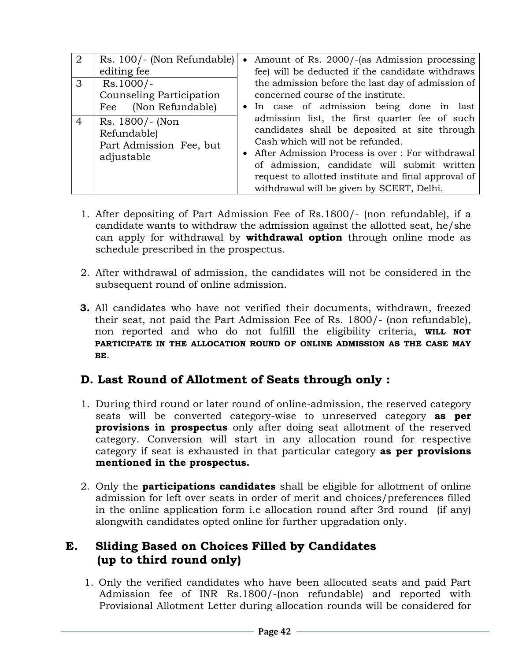| $\overline{2}$ | Rs. 100/- (Non Refundable)<br>editing fee                               | • Amount of Rs. 2000/-(as Admission processing<br>fee) will be deducted if the candidate withdraws                                                                                                                                                                                                                                          |
|----------------|-------------------------------------------------------------------------|---------------------------------------------------------------------------------------------------------------------------------------------------------------------------------------------------------------------------------------------------------------------------------------------------------------------------------------------|
| 3              | $Rs.1000/-$<br>Counseling Participation<br>Fee (Non Refundable)         | the admission before the last day of admission of<br>concerned course of the institute.<br>• In case of admission being done in last                                                                                                                                                                                                        |
| $\overline{4}$ | Rs. 1800/- (Non<br>Refundable)<br>Part Admission Fee, but<br>adjustable | admission list, the first quarter fee of such<br>candidates shall be deposited at site through<br>Cash which will not be refunded.<br>• After Admission Process is over : For withdrawal<br>of admission, candidate will submit written<br>request to allotted institute and final approval of<br>withdrawal will be given by SCERT, Delhi. |

- 1. After depositing of Part Admission Fee of Rs.1800/- (non refundable), if a candidate wants to withdraw the admission against the allotted seat, he/she can apply for withdrawal by **withdrawal option** through online mode as schedule prescribed in the prospectus.
- 2. After withdrawal of admission, the candidates will not be considered in the subsequent round of online admission.
- **3.** All candidates who have not verified their documents, withdrawn, freezed their seat, not paid the Part Admission Fee of Rs. 1800/- (non refundable), non reported and who do not fulfill the eligibility criteria, **WILL NOT PARTICIPATE IN THE ALLOCATION ROUND OF ONLINE ADMISSION AS THE CASE MAY BE**.

# **D. Last Round of Allotment of Seats through only :**

- 1. During third round or later round of online-admission, the reserved category seats will be converted category-wise to unreserved category **as per provisions in prospectus** only after doing seat allotment of the reserved category. Conversion will start in any allocation round for respective category if seat is exhausted in that particular category **as per provisions mentioned in the prospectus.**
- 2. Only the **participations candidates** shall be eligible for allotment of online admission for left over seats in order of merit and choices/preferences filled in the online application form i.e allocation round after 3rd round (if any) alongwith candidates opted online for further upgradation only.

# **E. Sliding Based on Choices Filled by Candidates (up to third round only)**

1. Only the verified candidates who have been allocated seats and paid Part Admission fee of INR Rs.1800/-(non refundable) and reported with Provisional Allotment Letter during allocation rounds will be considered for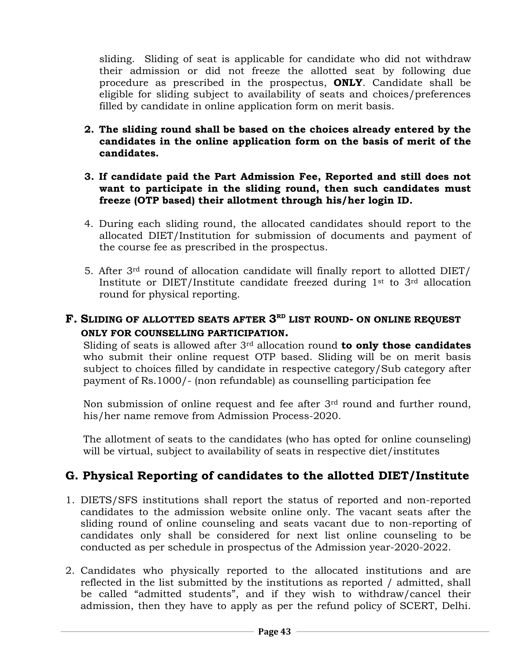sliding. Sliding of seat is applicable for candidate who did not withdraw their admission or did not freeze the allotted seat by following due procedure as prescribed in the prospectus, **ONLY**. Candidate shall be eligible for sliding subject to availability of seats and choices/preferences filled by candidate in online application form on merit basis.

- **2. The sliding round shall be based on the choices already entered by the candidates in the online application form on the basis of merit of the candidates.**
- **3. If candidate paid the Part Admission Fee, Reported and still does not want to participate in the sliding round, then such candidates must freeze (OTP based) their allotment through his/her login ID.**
- 4. During each sliding round, the allocated candidates should report to the allocated DIET/Institution for submission of documents and payment of the course fee as prescribed in the prospectus.
- 5. After 3rd round of allocation candidate will finally report to allotted DIET/ Institute or DIET/Institute candidate freezed during  $1<sup>st</sup>$  to  $3<sup>rd</sup>$  allocation round for physical reporting.

# **F. SLIDING OF ALLOTTED SEATS AFTER 3 RD LIST ROUND- ON ONLINE REQUEST ONLY FOR COUNSELLING PARTICIPATION.**

Sliding of seats is allowed after 3rd allocation round **to only those candidates** who submit their online request OTP based. Sliding will be on merit basis subject to choices filled by candidate in respective category/Sub category after payment of Rs.1000/- (non refundable) as counselling participation fee

Non submission of online request and fee after 3rd round and further round, his/her name remove from Admission Process-2020.

The allotment of seats to the candidates (who has opted for online counseling) will be virtual, subject to availability of seats in respective diet/institutes

# **G. Physical Reporting of candidates to the allotted DIET/Institute**

- 1. DIETS/SFS institutions shall report the status of reported and non-reported candidates to the admission website online only. The vacant seats after the sliding round of online counseling and seats vacant due to non-reporting of candidates only shall be considered for next list online counseling to be conducted as per schedule in prospectus of the Admission year-2020-2022.
- 2. Candidates who physically reported to the allocated institutions and are reflected in the list submitted by the institutions as reported / admitted, shall be called "admitted students", and if they wish to withdraw/cancel their admission, then they have to apply as per the refund policy of SCERT, Delhi.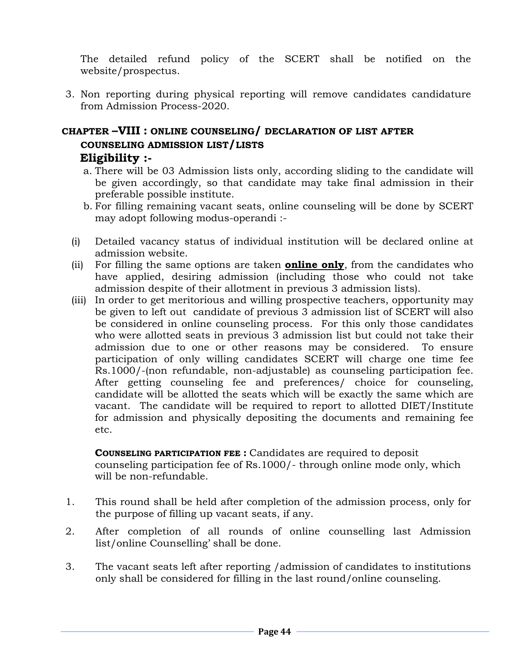The detailed refund policy of the SCERT shall be notified on the website/prospectus.

3. Non reporting during physical reporting will remove candidates candidature from Admission Process-2020.

# **CHAPTER –VIII : ONLINE COUNSELING/ DECLARATION OF LIST AFTER COUNSELING ADMISSION LIST/LISTS Eligibility :-**

- a. There will be 03 Admission lists only, according sliding to the candidate will be given accordingly, so that candidate may take final admission in their preferable possible institute.
- b. For filling remaining vacant seats, online counseling will be done by SCERT may adopt following modus-operandi :-
- (i) Detailed vacancy status of individual institution will be declared online at admission website.
- (ii) For filling the same options are taken **online only**, from the candidates who have applied, desiring admission (including those who could not take admission despite of their allotment in previous 3 admission lists).
- (iii) In order to get meritorious and willing prospective teachers, opportunity may be given to left out candidate of previous 3 admission list of SCERT will also be considered in online counseling process. For this only those candidates who were allotted seats in previous 3 admission list but could not take their admission due to one or other reasons may be considered. To ensure participation of only willing candidates SCERT will charge one time fee Rs.1000/-(non refundable, non-adjustable) as counseling participation fee. After getting counseling fee and preferences/ choice for counseling, candidate will be allotted the seats which will be exactly the same which are vacant. The candidate will be required to report to allotted DIET/Institute for admission and physically depositing the documents and remaining fee etc.

#### **COUNSELING PARTICIPATION FEE :** Candidates are required to deposit counseling participation fee of Rs.1000/- through online mode only, which will be non-refundable.

- 1. This round shall be held after completion of the admission process, only for the purpose of filling up vacant seats, if any.
- 2. After completion of all rounds of online counselling last Admission list/online Counselling' shall be done.
- 3. The vacant seats left after reporting /admission of candidates to institutions only shall be considered for filling in the last round/online counseling.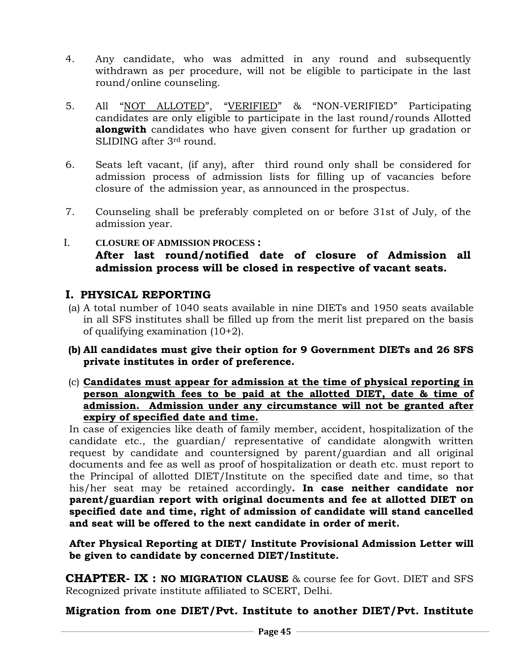- 4. Any candidate, who was admitted in any round and subsequently withdrawn as per procedure, will not be eligible to participate in the last round/online counseling.
- 5. All "NOT ALLOTED", "VERIFIED" & "NON-VERIFIED" Participating candidates are only eligible to participate in the last round/rounds Allotted **alongwith** candidates who have given consent for further up gradation or SLIDING after 3rd round.
- 6. Seats left vacant, (if any), after third round only shall be considered for admission process of admission lists for filling up of vacancies before closure of the admission year, as announced in the prospectus.
- 7. Counseling shall be preferably completed on or before 31st of July, of the admission year.
- I. **CLOSURE OF ADMISSION PROCESS : After last round/notified date of closure of Admission all admission process will be closed in respective of vacant seats.**

# **I. PHYSICAL REPORTING**

- (a) A total number of 1040 seats available in nine DIETs and 1950 seats available in all SFS institutes shall be filled up from the merit list prepared on the basis of qualifying examination (10+2).
- **(b) All candidates must give their option for 9 Government DIETs and 26 SFS private institutes in order of preference.**
- (c) **Candidates must appear for admission at the time of physical reporting in person alongwith fees to be paid at the allotted DIET, date & time of admission. Admission under any circumstance will not be granted after expiry of specified date and time.**

In case of exigencies like death of family member, accident, hospitalization of the candidate etc., the guardian/ representative of candidate alongwith written request by candidate and countersigned by parent/guardian and all original documents and fee as well as proof of hospitalization or death etc. must report to the Principal of allotted DIET/Institute on the specified date and time, so that his/her seat may be retained accordingly**. In case neither candidate nor parent/guardian report with original documents and fee at allotted DIET on specified date and time, right of admission of candidate will stand cancelled and seat will be offered to the next candidate in order of merit.**

**After Physical Reporting at DIET/ Institute Provisional Admission Letter will be given to candidate by concerned DIET/Institute.**

**CHAPTER- IX : NO MIGRATION CLAUSE** & course fee for Govt. DIET and SFS Recognized private institute affiliated to SCERT, Delhi.

**Migration from one DIET/Pvt. Institute to another DIET/Pvt. Institute**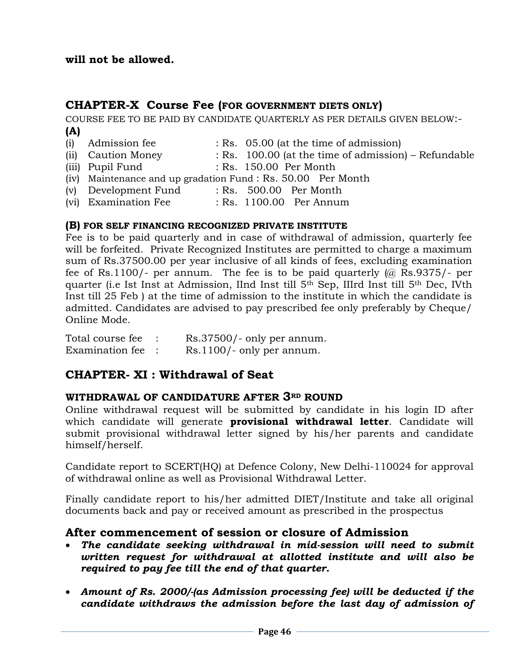## **will not be allowed.**

# **CHAPTER-X Course Fee (FOR GOVERNMENT DIETS ONLY)**

COURSE FEE TO BE PAID BY CANDIDATE QUARTERLY AS PER DETAILS GIVEN BELOW:- **(A)**

- (i) Admission fee : Rs. 05.00 (at the time of admission) (ii) Caution Money : Rs. 100.00 (at the time of admission) – Refundable
- (iii) Pupil Fund : Rs. 150.00 Per Month
- (iv) Maintenance and up gradation Fund : Rs. 50.00 Per Month
- (v) Development Fund : Rs. 500.00 Per Month
- (vi) Examination Fee : Rs. 1100.00 Per Annum

#### **(B) FOR SELF FINANCING RECOGNIZED PRIVATE INSTITUTE**

Fee is to be paid quarterly and in case of withdrawal of admission, quarterly fee will be forfeited. Private Recognized Institutes are permitted to charge a maximum sum of Rs.37500.00 per year inclusive of all kinds of fees, excluding examination fee of Rs.1100/- per annum. The fee is to be paid quarterly  $(a)$  Rs.9375/- per quarter (i.e Ist Inst at Admission, IInd Inst till 5th Sep, IIIrd Inst till 5th Dec, IVth Inst till 25 Feb ) at the time of admission to the institute in which the candidate is admitted. Candidates are advised to pay prescribed fee only preferably by Cheque/ Online Mode.

| Total course fee | $Rs.37500/-$ only per annum. |
|------------------|------------------------------|
| Examination fee  | $Rs.1100/-$ only per annum.  |

# **CHAPTER- XI : Withdrawal of Seat**

#### **WITHDRAWAL OF CANDIDATURE AFTER 3RD ROUND**

Online withdrawal request will be submitted by candidate in his login ID after which candidate will generate **provisional withdrawal letter**. Candidate will submit provisional withdrawal letter signed by his/her parents and candidate himself/herself.

Candidate report to SCERT(HQ) at Defence Colony, New Delhi-110024 for approval of withdrawal online as well as Provisional Withdrawal Letter.

Finally candidate report to his/her admitted DIET/Institute and take all original documents back and pay or received amount as prescribed in the prospectus

## **After commencement of session or closure of Admission**

- *The candidate seeking withdrawal in mid-session will need to submit written request for withdrawal at allotted institute and will also be required to pay fee till the end of that quarter.*
- *Amount of Rs. 2000/-(as Admission processing fee) will be deducted if the candidate withdraws the admission before the last day of admission of*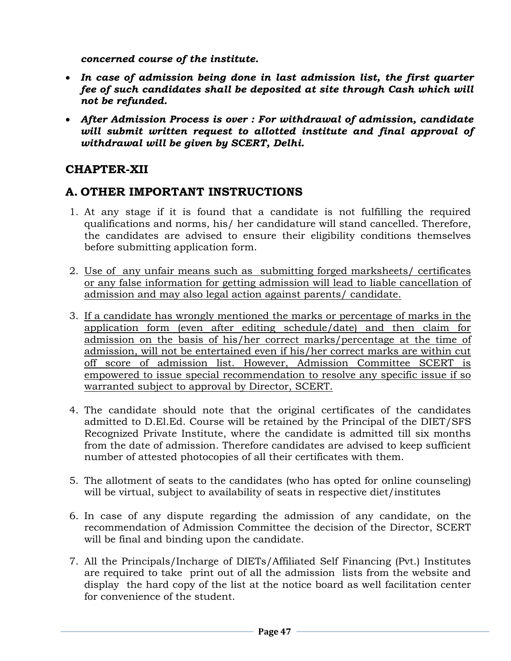*concerned course of the institute.*

- *In case of admission being done in last admission list, the first quarter fee of such candidates shall be deposited at site through Cash which will not be refunded.*
- *After Admission Process is over : For withdrawal of admission, candidate will submit written request to allotted institute and final approval of withdrawal will be given by SCERT, Delhi.*

# **CHAPTER-XII**

# **A. OTHER IMPORTANT INSTRUCTIONS**

- 1. At any stage if it is found that a candidate is not fulfilling the required qualifications and norms, his/ her candidature will stand cancelled. Therefore, the candidates are advised to ensure their eligibility conditions themselves before submitting application form.
- 2. Use of any unfair means such as submitting forged marksheets/ certificates or any false information for getting admission will lead to liable cancellation of admission and may also legal action against parents/ candidate.
- 3. If a candidate has wrongly mentioned the marks or percentage of marks in the application form (even after editing schedule/date) and then claim for admission on the basis of his/her correct marks/percentage at the time of admission, will not be entertained even if his/her correct marks are within cut off score of admission list. However, Admission Committee SCERT is empowered to issue special recommendation to resolve any specific issue if so warranted subject to approval by Director, SCERT.
- 4. The candidate should note that the original certificates of the candidates admitted to D.El.Ed. Course will be retained by the Principal of the DIET/SFS Recognized Private Institute, where the candidate is admitted till six months from the date of admission. Therefore candidates are advised to keep sufficient number of attested photocopies of all their certificates with them.
- 5. The allotment of seats to the candidates (who has opted for online counseling) will be virtual, subject to availability of seats in respective diet/institutes
- 6. In case of any dispute regarding the admission of any candidate, on the recommendation of Admission Committee the decision of the Director, SCERT will be final and binding upon the candidate.
- 7. All the Principals/Incharge of DIETs/Affiliated Self Financing (Pvt.) Institutes are required to take print out of all the admission lists from the website and display the hard copy of the list at the notice board as well facilitation center for convenience of the student.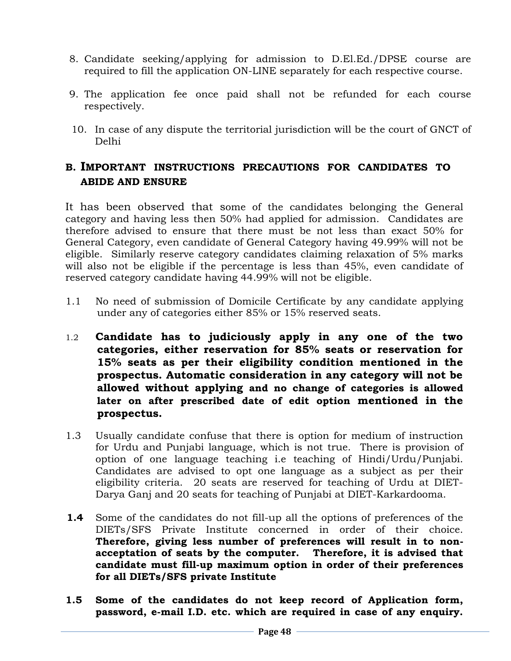- 8. Candidate seeking/applying for admission to D.El.Ed./DPSE course are required to fill the application ON-LINE separately for each respective course.
- 9. The application fee once paid shall not be refunded for each course respectively.
- 10. In case of any dispute the territorial jurisdiction will be the court of GNCT of Delhi

# **B. IMPORTANT INSTRUCTIONS PRECAUTIONS FOR CANDIDATES TO ABIDE AND ENSURE**

It has been observed that some of the candidates belonging the General category and having less then 50% had applied for admission. Candidates are therefore advised to ensure that there must be not less than exact 50% for General Category, even candidate of General Category having 49.99% will not be eligible. Similarly reserve category candidates claiming relaxation of 5% marks will also not be eligible if the percentage is less than 45%, even candidate of reserved category candidate having 44.99% will not be eligible.

- 1.1 No need of submission of Domicile Certificate by any candidate applying under any of categories either 85% or 15% reserved seats.
- 1.2 **Candidate has to judiciously apply in any one of the two categories, either reservation for 85% seats or reservation for 15% seats as per their eligibility condition mentioned in the prospectus. Automatic consideration in any category will not be allowed without applying and no change of categories is allowed later on after prescribed date of edit option mentioned in the prospectus.**
- 1.3 Usually candidate confuse that there is option for medium of instruction for Urdu and Punjabi language, which is not true. There is provision of option of one language teaching i.e teaching of Hindi/Urdu/Punjabi. Candidates are advised to opt one language as a subject as per their eligibility criteria. 20 seats are reserved for teaching of Urdu at DIET-Darya Ganj and 20 seats for teaching of Punjabi at DIET-Karkardooma.
- **1.4** Some of the candidates do not fill-up all the options of preferences of the DIETs/SFS Private Institute concerned in order of their choice. **Therefore, giving less number of preferences will result in to nonacceptation of seats by the computer. Therefore, it is advised that candidate must fill-up maximum option in order of their preferences for all DIETs/SFS private Institute**
- **1.5 Some of the candidates do not keep record of Application form, password, e-mail I.D. etc. which are required in case of any enquiry.**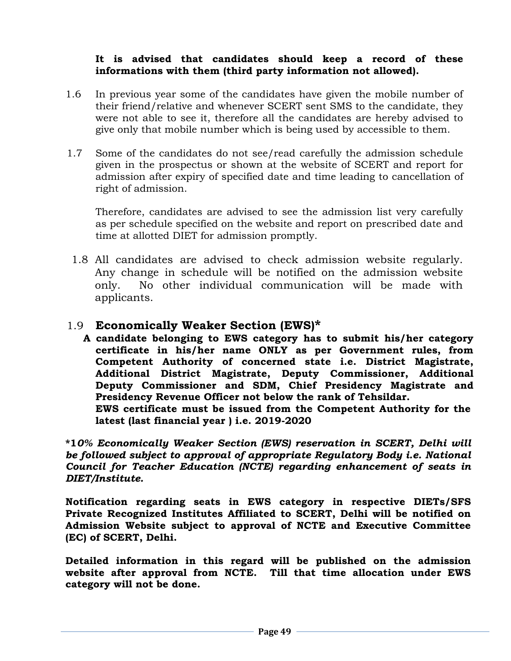#### **It is advised that candidates should keep a record of these informations with them (third party information not allowed).**

- 1.6 In previous year some of the candidates have given the mobile number of their friend/relative and whenever SCERT sent SMS to the candidate, they were not able to see it, therefore all the candidates are hereby advised to give only that mobile number which is being used by accessible to them.
- 1.7 Some of the candidates do not see/read carefully the admission schedule given in the prospectus or shown at the website of SCERT and report for admission after expiry of specified date and time leading to cancellation of right of admission.

Therefore, candidates are advised to see the admission list very carefully as per schedule specified on the website and report on prescribed date and time at allotted DIET for admission promptly.

1.8 All candidates are advised to check admission website regularly. Any change in schedule will be notified on the admission website only. No other individual communication will be made with applicants.

# 1.9 **Economically Weaker Section (EWS)\***

**A candidate belonging to EWS category has to submit his/her category certificate in his/her name ONLY as per Government rules, from Competent Authority of concerned state i.e. District Magistrate, Additional District Magistrate, Deputy Commissioner, Additional Deputy Commissioner and SDM, Chief Presidency Magistrate and Presidency Revenue Officer not below the rank of Tehsildar.** 

**EWS certificate must be issued from the Competent Authority for the latest (last financial year ) i.e. 2019-2020**

**\*1***0% Economically Weaker Section (EWS) reservation in SCERT, Delhi will be followed subject to approval of appropriate Regulatory Body i.e. National Council for Teacher Education (NCTE) regarding enhancement of seats in DIET/Institute.*

**Notification regarding seats in EWS category in respective DIETs/SFS Private Recognized Institutes Affiliated to SCERT, Delhi will be notified on Admission Website subject to approval of NCTE and Executive Committee (EC) of SCERT, Delhi.**

**Detailed information in this regard will be published on the admission website after approval from NCTE. Till that time allocation under EWS category will not be done.**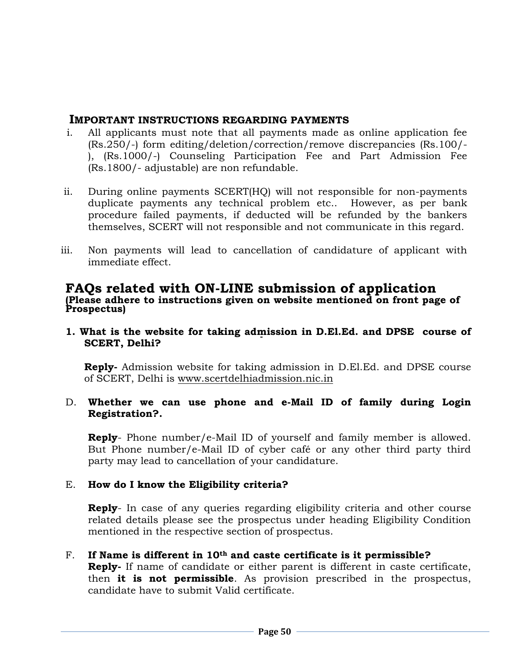#### **IMPORTANT INSTRUCTIONS REGARDING PAYMENTS**

- i. All applicants must note that all payments made as online application fee (Rs.250/-) form editing/deletion/correction/remove discrepancies (Rs.100/- ), (Rs.1000/-) Counseling Participation Fee and Part Admission Fee (Rs.1800/- adjustable) are non refundable.
- ii. During online payments SCERT(HQ) will not responsible for non-payments duplicate payments any technical problem etc.. However, as per bank procedure failed payments, if deducted will be refunded by the bankers themselves, SCERT will not responsible and not communicate in this regard.
- iii. Non payments will lead to cancellation of candidature of applicant with immediate effect.

#### **FAQs related with ON-LINE submission of application (Please adhere to instructions given on website mentioned on front page of Prospectus)**

**1. What is the website for taking admission in D.El.Ed. and DPSE course of SCERT, Delhi?**

**Reply-** Admission website for taking admission in D.El.Ed. and DPSE course of SCERT, Delhi is [www.scertdelhiadmission.nic.in](http://www.scertdelhiadmission.nic.in/)

#### D. **Whether we can use phone and e-Mail ID of family during Login Registration?.**

**Reply**- Phone number/e-Mail ID of yourself and family member is allowed. But Phone number/e-Mail ID of cyber café or any other third party third party may lead to cancellation of your candidature.

#### E. **How do I know the Eligibility criteria?**

**Reply**- In case of any queries regarding eligibility criteria and other course related details please see the prospectus under heading Eligibility Condition mentioned in the respective section of prospectus.

F. **If Name is different in 10th and caste certificate is it permissible? Reply-** If name of candidate or either parent is different in caste certificate, then **it is not permissible**. As provision prescribed in the prospectus, candidate have to submit Valid certificate.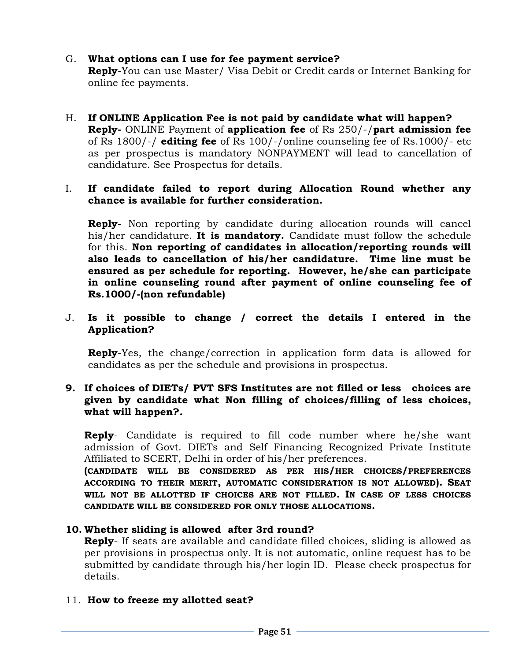# G. **What options can I use for fee payment service?**

**Reply**-You can use Master/ Visa Debit or Credit cards or Internet Banking for online fee payments.

H. **If ONLINE Application Fee is not paid by candidate what will happen? Reply-** ONLINE Payment of **application fee** of Rs 250/-/**part admission fee** of Rs 1800/-/ **editing fee** of Rs 100/-/online counseling fee of Rs.1000/- etc as per prospectus is mandatory NONPAYMENT will lead to cancellation of candidature. See Prospectus for details.

#### I. **If candidate failed to report during Allocation Round whether any chance is available for further consideration.**

**Reply-** Non reporting by candidate during allocation rounds will cancel his/her candidature. **It is mandatory.** Candidate must follow the schedule for this. **Non reporting of candidates in allocation/reporting rounds will also leads to cancellation of his/her candidature. Time line must be ensured as per schedule for reporting. However, he/she can participate in online counseling round after payment of online counseling fee of Rs.1000/-(non refundable)**

#### J. **Is it possible to change / correct the details I entered in the Application?**

**Reply**-Yes, the change/correction in application form data is allowed for candidates as per the schedule and provisions in prospectus.

#### **9. If choices of DIETs/ PVT SFS Institutes are not filled or less choices are given by candidate what Non filling of choices/filling of less choices, what will happen?.**

**Reply**- Candidate is required to fill code number where he/she want admission of Govt. DIETs and Self Financing Recognized Private Institute Affiliated to SCERT, Delhi in order of his/her preferences.

**(CANDIDATE WILL BE CONSIDERED AS PER HIS/HER CHOICES/PREFERENCES ACCORDING TO THEIR MERIT, AUTOMATIC CONSIDERATION IS NOT ALLOWED). SEAT WILL NOT BE ALLOTTED IF CHOICES ARE NOT FILLED. IN CASE OF LESS CHOICES CANDIDATE WILL BE CONSIDERED FOR ONLY THOSE ALLOCATIONS.**

## **10. Whether sliding is allowed after 3rd round?**

**Reply**- If seats are available and candidate filled choices, sliding is allowed as per provisions in prospectus only. It is not automatic, online request has to be submitted by candidate through his/her login ID. Please check prospectus for details.

## 11. **How to freeze my allotted seat?**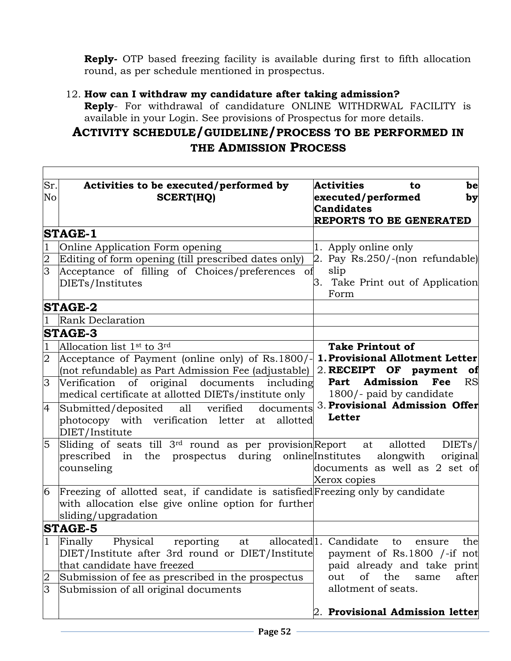**Reply-** OTP based freezing facility is available during first to fifth allocation round, as per schedule mentioned in prospectus.

# 12. **How can I withdraw my candidature after taking admission?**

**Reply**- For withdrawal of candidature ONLINE WITHDRWAL FACILITY is available in your Login. See provisions of Prospectus for more details.

# **ACTIVITY SCHEDULE/GUIDELINE/PROCESS TO BE PERFORMED IN THE ADMISSION PROCESS**

| Sr.<br>No      | Activities to be executed/performed by<br><b>SCERT(HQ)</b>                      | <b>Activities</b><br>be<br>to<br>executed/performed<br>by<br><b>Candidates</b><br>REPORTS TO BE GENERATED |  |  |  |
|----------------|---------------------------------------------------------------------------------|-----------------------------------------------------------------------------------------------------------|--|--|--|
|                | <b>STAGE-1</b>                                                                  |                                                                                                           |  |  |  |
|                | Online Application Form opening                                                 | 1. Apply online only                                                                                      |  |  |  |
| $\overline{2}$ | Editing of form opening (till prescribed dates only)                            | 2. Pay $Rs.250/$ -(non refundable)                                                                        |  |  |  |
| $\overline{3}$ | Acceptance of filling of Choices/preferences<br>οf                              | slip                                                                                                      |  |  |  |
|                | DIETs/Institutes                                                                | 3. Take Print out of Application<br>Form                                                                  |  |  |  |
|                | <b>STAGE-2</b>                                                                  |                                                                                                           |  |  |  |
|                | <b>Rank Declaration</b>                                                         |                                                                                                           |  |  |  |
|                | <b>STAGE-3</b>                                                                  |                                                                                                           |  |  |  |
| $\mathbf{1}$   | Allocation list 1 <sup>st</sup> to 3 <sup>rd</sup>                              | <b>Take Printout of</b>                                                                                   |  |  |  |
| $\overline{2}$ | Acceptance of Payment (online only) of Rs.1800/-                                | 1. Provisional Allotment Letter                                                                           |  |  |  |
|                | (not refundable) as Part Admission Fee (adjustable)                             | 2. RECEIPT OF payment<br>of                                                                               |  |  |  |
| $\overline{3}$ | Verification<br>original documents including<br>of                              | Part Admission Fee<br><b>RS</b>                                                                           |  |  |  |
|                | medical certificate at allotted DIETs/institute only                            | 1800/- paid by candidate                                                                                  |  |  |  |
| $\overline{4}$ | Submitted/deposited all verified<br>documents                                   | 3. Provisional Admission Offer                                                                            |  |  |  |
|                | photocopy with verification letter at<br>allotted                               | Letter                                                                                                    |  |  |  |
|                | DIET/Institute                                                                  |                                                                                                           |  |  |  |
| $\overline{5}$ | Sliding of seats till 3 <sup>rd</sup> round as per provision Report at allotted | DIETs/                                                                                                    |  |  |  |
|                | prescribed in the prospectus during online Institutes                           | alongwith<br>original                                                                                     |  |  |  |
|                | counseling                                                                      | documents as well as 2 set of                                                                             |  |  |  |
|                |                                                                                 | Xerox copies                                                                                              |  |  |  |
| 6              | Freezing of allotted seat, if candidate is satisfied Freezing only by candidate |                                                                                                           |  |  |  |
|                | with allocation else give online option for further                             |                                                                                                           |  |  |  |
|                | sliding/upgradation                                                             |                                                                                                           |  |  |  |
|                | <b>STAGE-5</b>                                                                  |                                                                                                           |  |  |  |
| $\mathbf{1}$   | Physical<br>Finally<br>reporting<br>at                                          | allocated <sup>1</sup> . Candidate<br>the<br>to<br>ensure                                                 |  |  |  |
|                | DIET/Institute after 3rd round or DIET/Institute                                | payment of Rs.1800 /-if not                                                                               |  |  |  |
|                | that candidate have freezed                                                     | paid already and take print                                                                               |  |  |  |
| $\overline{2}$ | Submission of fee as prescribed in the prospectus                               | <sub>of</sub><br>the<br>after<br>out<br>same                                                              |  |  |  |
| 3              | Submission of all original documents                                            | allotment of seats.                                                                                       |  |  |  |
|                |                                                                                 | 2. Provisional Admission letter                                                                           |  |  |  |